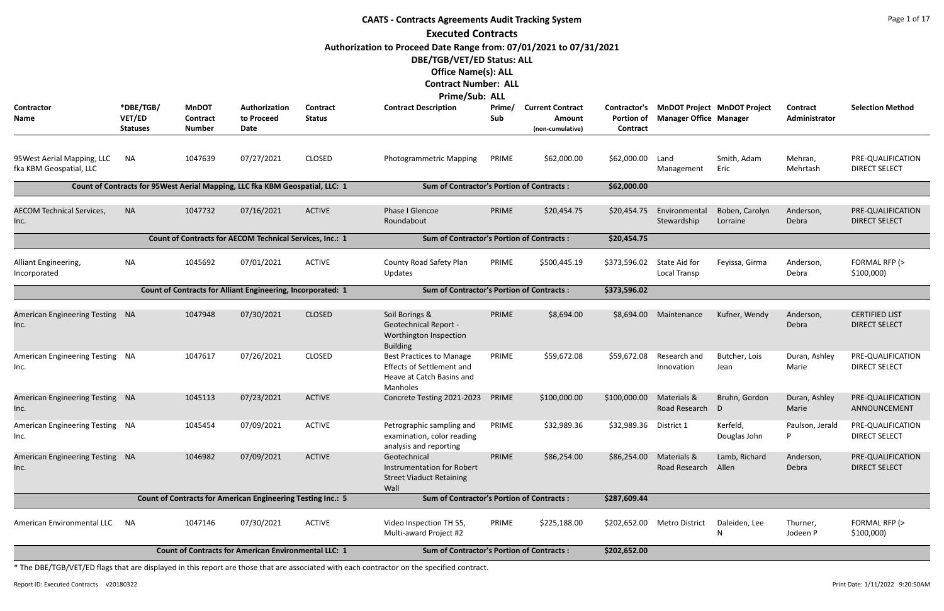|                                                        | <b>CAATS - Contracts Agreements Audit Tracking System</b><br><b>Executed Contracts</b> |                                                  |                                                                               |                           |                                                                                                              |               |                                                       |                                               |                               |                                    |                           |                                               |  |  |
|--------------------------------------------------------|----------------------------------------------------------------------------------------|--------------------------------------------------|-------------------------------------------------------------------------------|---------------------------|--------------------------------------------------------------------------------------------------------------|---------------|-------------------------------------------------------|-----------------------------------------------|-------------------------------|------------------------------------|---------------------------|-----------------------------------------------|--|--|
|                                                        |                                                                                        |                                                  |                                                                               |                           |                                                                                                              |               |                                                       |                                               |                               |                                    |                           |                                               |  |  |
|                                                        |                                                                                        |                                                  |                                                                               |                           | Authorization to Proceed Date Range from: 07/01/2021 to 07/31/2021<br>DBE/TGB/VET/ED Status: ALL             |               |                                                       |                                               |                               |                                    |                           |                                               |  |  |
|                                                        |                                                                                        |                                                  |                                                                               |                           | <b>Office Name(s): ALL</b><br><b>Contract Number: ALL</b>                                                    |               |                                                       |                                               |                               |                                    |                           |                                               |  |  |
|                                                        |                                                                                        |                                                  |                                                                               |                           | <b>Prime/Sub: ALL</b>                                                                                        |               |                                                       |                                               |                               |                                    |                           |                                               |  |  |
| Contractor<br>Name                                     | *DBE/TGB/<br>VET/ED<br><b>Statuses</b>                                                 | <b>MnDOT</b><br><b>Contract</b><br><b>Number</b> | Authorization<br>to Proceed<br>Date                                           | Contract<br><b>Status</b> | <b>Contract Description</b>                                                                                  | Prime/<br>Sub | <b>Current Contract</b><br>Amount<br>(non-cumulative) | Contractor's<br><b>Portion of</b><br>Contract | <b>Manager Office Manager</b> | <b>MnDOT Project MnDOT Project</b> | Contract<br>Administrator | <b>Selection Method</b>                       |  |  |
| 95 West Aerial Mapping, LLC<br>fka KBM Geospatial, LLC | ΝA                                                                                     | 1047639                                          | 07/27/2021                                                                    | <b>CLOSED</b>             | <b>Photogrammetric Mapping</b>                                                                               | PRIME         | \$62,000.00                                           | \$62,000.00                                   | Land<br>Management            | Smith, Adam<br>Eric                | Mehran,<br>Mehrtash       | PRE-QUALIFICATION<br><b>DIRECT SELECT</b>     |  |  |
|                                                        |                                                                                        |                                                  | Count of Contracts for 95 West Aerial Mapping, LLC fka KBM Geospatial, LLC: 1 |                           | <b>Sum of Contractor's Portion of Contracts:</b>                                                             |               |                                                       | \$62,000.00                                   |                               |                                    |                           |                                               |  |  |
| <b>AECOM Technical Services,</b><br>Inc.               | <b>NA</b>                                                                              | 1047732                                          | 07/16/2021                                                                    | <b>ACTIVE</b>             | Phase I Glencoe<br>Roundabout                                                                                | PRIME         | \$20,454.75                                           | \$20,454.75                                   | Environmental<br>Stewardship  | Boben, Carolyn<br>Lorraine         | Anderson,<br>Debra        | PRE-QUALIFICATION<br><b>DIRECT SELECT</b>     |  |  |
|                                                        |                                                                                        |                                                  |                                                                               |                           |                                                                                                              |               |                                                       |                                               |                               |                                    |                           |                                               |  |  |
| Alliant Engineering,<br>Incorporated                   | NA                                                                                     | 1045692                                          | 07/01/2021                                                                    | <b>ACTIVE</b>             | County Road Safety Plan<br>Updates                                                                           | PRIME         | \$500,445.19                                          | \$373,596.02                                  | State Aid for<br>Local Transp | Feyissa, Girma                     | Anderson,<br>Debra        | FORMAL RFP (><br>\$100,000                    |  |  |
|                                                        |                                                                                        |                                                  | <b>Count of Contracts for Alliant Engineering, Incorporated: 1</b>            |                           | <b>Sum of Contractor's Portion of Contracts:</b>                                                             |               |                                                       | \$373,596.02                                  |                               |                                    |                           |                                               |  |  |
| <b>American Engineering Testing</b><br>Inc.            | - NA                                                                                   | 1047948                                          | 07/30/2021                                                                    | <b>CLOSED</b>             | Soil Borings &<br><b>Geotechnical Report -</b><br>Worthington Inspection<br><b>Building</b>                  | PRIME         | \$8,694.00                                            | \$8,694.00                                    | Maintenance                   | Kufner, Wendy                      | Anderson,<br>Debra        | <b>CERTIFIED LIST</b><br><b>DIRECT SELECT</b> |  |  |
| American Engineering Testing NA<br>Inc.                |                                                                                        | 1047617                                          | 07/26/2021                                                                    | <b>CLOSED</b>             | <b>Best Practices to Manage</b><br><b>Effects of Settlement and</b><br>Heave at Catch Basins and<br>Manholes | PRIME         | \$59,672.08                                           | \$59,672.08                                   | Research and<br>Innovation    | Butcher, Lois<br>Jean              | Duran, Ashley<br>Marie    | PRE-QUALIFICATION<br><b>DIRECT SELECT</b>     |  |  |
| American Engineering Testing NA<br>Inc.                |                                                                                        | 1045113                                          | 07/23/2021                                                                    | <b>ACTIVE</b>             | Concrete Testing 2021-2023                                                                                   | PRIME         | \$100,000.00                                          | \$100,000.00                                  | Materials &<br>Road Research  | Bruhn, Gordon<br>D                 | Duran, Ashley<br>Marie    | PRE-QUALIFICATION<br>ANNOUNCEMENT             |  |  |
| American Engineering Testing NA<br>Inc.                |                                                                                        | 1045454                                          | 07/09/2021                                                                    | <b>ACTIVE</b>             | Petrographic sampling and<br>examination, color reading<br>analysis and reporting                            | PRIME         | \$32,989.36                                           | \$32,989.36                                   | District 1                    | Kerfeld,<br>Douglas John           | Paulson, Jerald<br>P      | PRE-QUALIFICATION<br><b>DIRECT SELECT</b>     |  |  |
| American Engineering Testing NA<br>Inc.                |                                                                                        | 1046982                                          | 07/09/2021                                                                    | <b>ACTIVE</b>             | Geotechnical<br>Instrumentation for Robert<br><b>Street Viaduct Retaining</b><br>Wall                        | PRIME         | \$86,254.00                                           | \$86,254.00                                   | Materials &<br>Road Research  | Lamb, Richard<br>Allen             | Anderson,<br>Debra        | PRE-QUALIFICATION<br><b>DIRECT SELECT</b>     |  |  |
|                                                        |                                                                                        |                                                  | <b>Count of Contracts for American Engineering Testing Inc.: 5</b>            |                           | <b>Sum of Contractor's Portion of Contracts:</b>                                                             |               |                                                       | \$287,609.44                                  |                               |                                    |                           |                                               |  |  |
| American Environmental LLC                             | <b>NA</b>                                                                              | 1047146                                          | 07/30/2021                                                                    | <b>ACTIVE</b>             | Video Inspection TH 55,<br>Multi-award Project #2                                                            | PRIME         | \$225,188.00                                          | \$202,652.00                                  | <b>Metro District</b>         | Daleiden, Lee<br>N                 | Thurner,<br>Jodeen P      | FORMAL RFP (><br>\$100,000                    |  |  |
|                                                        |                                                                                        |                                                  | <b>Count of Contracts for American Environmental LLC: 1</b>                   |                           | <b>Sum of Contractor's Portion of Contracts:</b>                                                             |               |                                                       | \$202,652.00                                  |                               |                                    |                           |                                               |  |  |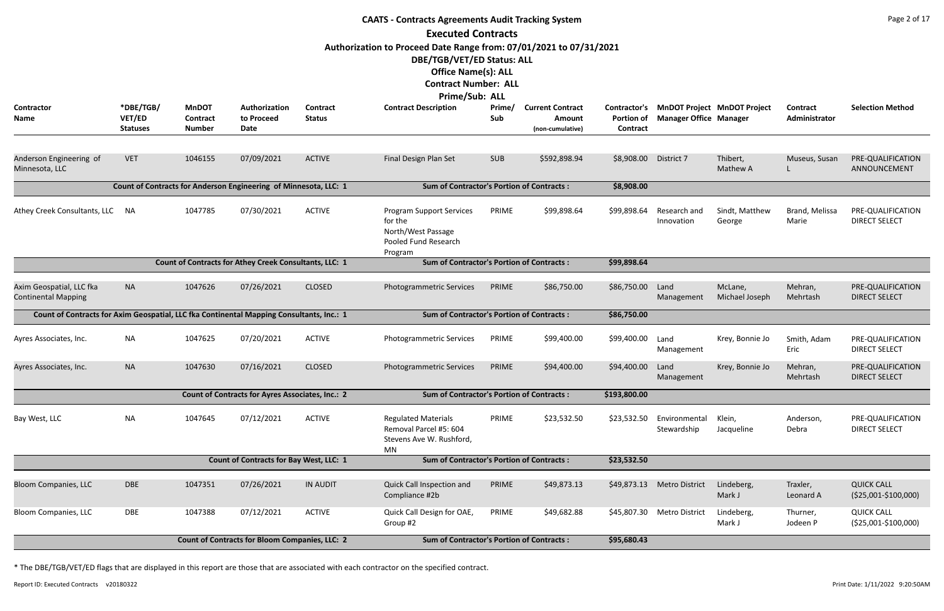|                                                                                          |                                        |                                                  |                                                                  |                           | <b>CAATS - Contracts Agreements Audit Tracking System</b>                                                                                                                       |               |                                                       |                                        |                               |                                    |                           | Page 2 of 17                                 |
|------------------------------------------------------------------------------------------|----------------------------------------|--------------------------------------------------|------------------------------------------------------------------|---------------------------|---------------------------------------------------------------------------------------------------------------------------------------------------------------------------------|---------------|-------------------------------------------------------|----------------------------------------|-------------------------------|------------------------------------|---------------------------|----------------------------------------------|
|                                                                                          |                                        |                                                  |                                                                  |                           | <b>Executed Contracts</b>                                                                                                                                                       |               |                                                       |                                        |                               |                                    |                           |                                              |
|                                                                                          |                                        |                                                  |                                                                  |                           | Authorization to Proceed Date Range from: 07/01/2021 to 07/31/2021<br>DBE/TGB/VET/ED Status: ALL<br><b>Office Name(s): ALL</b><br><b>Contract Number: ALL</b><br>Prime/Sub: ALL |               |                                                       |                                        |                               |                                    |                           |                                              |
| <b>Contractor</b><br><b>Name</b>                                                         | *DBE/TGB/<br>VET/ED<br><b>Statuses</b> | <b>MnDOT</b><br><b>Contract</b><br><b>Number</b> | Authorization<br>to Proceed<br><b>Date</b>                       | Contract<br><b>Status</b> | <b>Contract Description</b>                                                                                                                                                     | Prime/<br>Sub | <b>Current Contract</b><br>Amount<br>(non-cumulative) | Contractor's<br>Portion of<br>Contract | <b>Manager Office Manager</b> | <b>MnDOT Project MnDOT Project</b> | Contract<br>Administrator | <b>Selection Method</b>                      |
| Anderson Engineering of<br>Minnesota, LLC                                                | <b>VET</b>                             | 1046155                                          | 07/09/2021                                                       | <b>ACTIVE</b>             | Final Design Plan Set                                                                                                                                                           | <b>SUB</b>    | \$592,898.94                                          | \$8,908.00                             | District 7                    | Thibert,<br>Mathew A               | Museus, Susan             | PRE-QUALIFICATION<br>ANNOUNCEMENT            |
|                                                                                          |                                        |                                                  | Count of Contracts for Anderson Engineering of Minnesota, LLC: 1 |                           | <b>Sum of Contractor's Portion of Contracts:</b>                                                                                                                                |               |                                                       | \$8,908.00                             |                               |                                    |                           |                                              |
| Athey Creek Consultants, LLC                                                             | NA                                     | 1047785                                          | 07/30/2021                                                       | <b>ACTIVE</b>             | <b>Program Support Services</b><br>for the<br>North/West Passage<br>Pooled Fund Research<br>Program                                                                             | PRIME         | \$99,898.64                                           | \$99,898.64                            | Research and<br>Innovation    | Sindt, Matthew<br>George           | Brand, Melissa<br>Marie   | PRE-QUALIFICATION<br><b>DIRECT SELECT</b>    |
|                                                                                          |                                        |                                                  | Count of Contracts for Athey Creek Consultants, LLC: 1           |                           | <b>Sum of Contractor's Portion of Contracts:</b>                                                                                                                                |               |                                                       | \$99,898.64                            |                               |                                    |                           |                                              |
| Axim Geospatial, LLC fka<br><b>Continental Mapping</b>                                   | <b>NA</b>                              | 1047626                                          | 07/26/2021                                                       | <b>CLOSED</b>             | Photogrammetric Services                                                                                                                                                        | PRIME         | \$86,750.00                                           | \$86,750.00                            | Land<br>Management            | McLane,<br>Michael Joseph          | Mehran,<br>Mehrtash       | PRE-QUALIFICATION<br><b>DIRECT SELECT</b>    |
| Count of Contracts for Axim Geospatial, LLC fka Continental Mapping Consultants, Inc.: 1 |                                        |                                                  |                                                                  |                           | <b>Sum of Contractor's Portion of Contracts:</b>                                                                                                                                |               |                                                       | \$86,750.00                            |                               |                                    |                           |                                              |
| Ayres Associates, Inc.                                                                   | <b>NA</b>                              | 1047625                                          | 07/20/2021                                                       | <b>ACTIVE</b>             | Photogrammetric Services                                                                                                                                                        | PRIME         | \$99,400.00                                           | \$99,400.00                            | Land<br>Management            | Krey, Bonnie Jo                    | Smith, Adam<br>Eric       | PRE-QUALIFICATION<br><b>DIRECT SELECT</b>    |
| Ayres Associates, Inc.                                                                   | <b>NA</b>                              | 1047630                                          | 07/16/2021                                                       | <b>CLOSED</b>             | Photogrammetric Services                                                                                                                                                        | PRIME         | \$94,400.00                                           | \$94,400.00                            | Land<br>Management            | Krey, Bonnie Jo                    | Mehran,<br>Mehrtash       | PRE-QUALIFICATION<br><b>DIRECT SELECT</b>    |
|                                                                                          |                                        |                                                  | Count of Contracts for Ayres Associates, Inc.: 2                 |                           | <b>Sum of Contractor's Portion of Contracts:</b>                                                                                                                                |               |                                                       | \$193,800.00                           |                               |                                    |                           |                                              |
| Bay West, LLC                                                                            | <b>NA</b>                              | 1047645                                          | 07/12/2021                                                       | <b>ACTIVE</b>             | <b>Regulated Materials</b><br>Removal Parcel #5: 604<br>Stevens Ave W. Rushford,<br><b>MN</b>                                                                                   | PRIME         | \$23,532.50                                           | \$23,532.50                            | Environmental<br>Stewardship  | Klein,<br>Jacqueline               | Anderson,<br>Debra        | PRE-QUALIFICATION<br><b>DIRECT SELECT</b>    |
|                                                                                          |                                        |                                                  | <b>Count of Contracts for Bay West, LLC: 1</b>                   |                           | <b>Sum of Contractor's Portion of Contracts:</b>                                                                                                                                |               |                                                       | \$23,532.50                            |                               |                                    |                           |                                              |
| <b>Bloom Companies, LLC</b>                                                              | <b>DBE</b>                             | 1047351                                          | 07/26/2021                                                       | <b>IN AUDIT</b>           | Quick Call Inspection and<br>Compliance #2b                                                                                                                                     | PRIME         | \$49,873.13                                           | \$49,873.13                            | <b>Metro District</b>         | Lindeberg,<br>Mark J               | Traxler,<br>Leonard A     | <b>QUICK CALL</b><br>$( $25,001 - $100,000)$ |
| Bloom Companies, LLC                                                                     | DBE                                    | 1047388                                          | 07/12/2021                                                       | <b>ACTIVE</b>             | Quick Call Design for OAE,<br>Group #2                                                                                                                                          | PRIME         | \$49,682.88                                           | \$45,807.30                            | <b>Metro District</b>         | Lindeberg,<br>Mark J               | Thurner,<br>Jodeen P      | <b>QUICK CALL</b><br>(\$25,001-\$100,000)    |
|                                                                                          |                                        |                                                  | <b>Count of Contracts for Bloom Companies, LLC: 2</b>            |                           | <b>Sum of Contractor's Portion of Contracts:</b>                                                                                                                                |               |                                                       | \$95,680.43                            |                               |                                    |                           |                                              |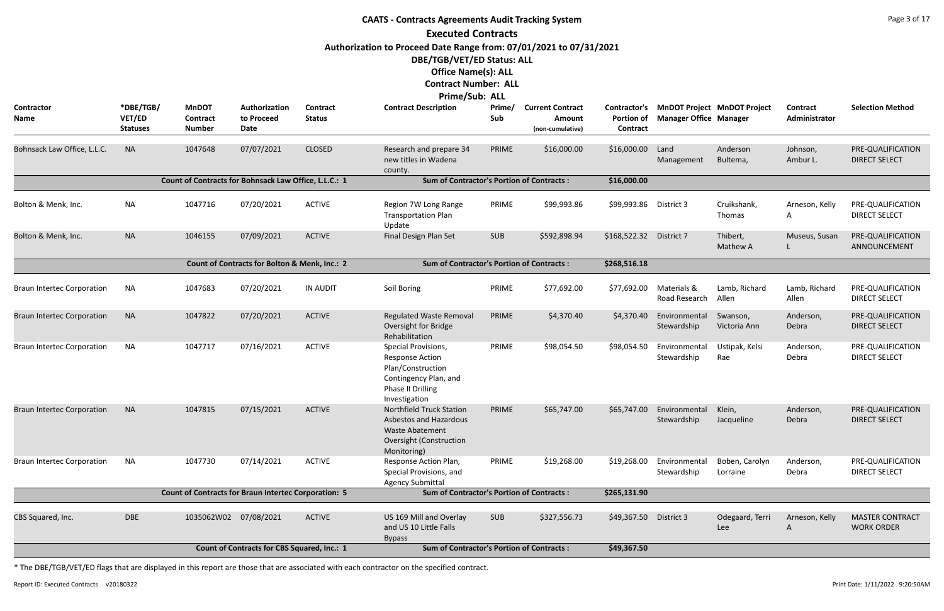|                                   |                                        |                                                             |                                                    |                           | <b>CAATS - Contracts Agreements Audit Tracking System</b>                                                                            |               |                                                       |                                                      |                               |                                    |                                  | Page 3 of 17                                |
|-----------------------------------|----------------------------------------|-------------------------------------------------------------|----------------------------------------------------|---------------------------|--------------------------------------------------------------------------------------------------------------------------------------|---------------|-------------------------------------------------------|------------------------------------------------------|-------------------------------|------------------------------------|----------------------------------|---------------------------------------------|
|                                   |                                        |                                                             |                                                    |                           | <b>Executed Contracts</b>                                                                                                            |               |                                                       |                                                      |                               |                                    |                                  |                                             |
|                                   |                                        |                                                             |                                                    |                           | Authorization to Proceed Date Range from: 07/01/2021 to 07/31/2021                                                                   |               |                                                       |                                                      |                               |                                    |                                  |                                             |
|                                   |                                        |                                                             |                                                    |                           | DBE/TGB/VET/ED Status: ALL                                                                                                           |               |                                                       |                                                      |                               |                                    |                                  |                                             |
|                                   |                                        |                                                             |                                                    |                           | <b>Office Name(s): ALL</b>                                                                                                           |               |                                                       |                                                      |                               |                                    |                                  |                                             |
|                                   |                                        |                                                             |                                                    |                           | <b>Contract Number: ALL</b>                                                                                                          |               |                                                       |                                                      |                               |                                    |                                  |                                             |
|                                   |                                        |                                                             |                                                    |                           | Prime/Sub: ALL                                                                                                                       |               |                                                       |                                                      |                               |                                    |                                  |                                             |
| Contractor<br>Name                | *DBE/TGB/<br>VET/ED<br><b>Statuses</b> | <b>MnDOT</b><br>Contract<br><b>Number</b>                   | Authorization<br>to Proceed<br>Date                | Contract<br><b>Status</b> | <b>Contract Description</b>                                                                                                          | Prime/<br>Sub | <b>Current Contract</b><br>Amount<br>(non-cumulative) | <b>Contractor's</b><br><b>Portion of</b><br>Contract | <b>Manager Office Manager</b> | <b>MnDOT Project MnDOT Project</b> | <b>Contract</b><br>Administrator | <b>Selection Method</b>                     |
| Bohnsack Law Office, L.L.C.       | <b>NA</b>                              | 1047648                                                     | 07/07/2021                                         | <b>CLOSED</b>             | Research and prepare 34<br>new titles in Wadena<br>county.                                                                           | PRIME         | \$16,000.00                                           | \$16,000.00                                          | Land<br>Management            | Anderson<br>Bultema,               | Johnson,<br>Ambur L.             | PRE-QUALIFICATION<br><b>DIRECT SELECT</b>   |
|                                   |                                        | Count of Contracts for Bohnsack Law Office, L.L.C.: 1       |                                                    |                           | <b>Sum of Contractor's Portion of Contracts:</b>                                                                                     |               |                                                       | \$16,000.00                                          |                               |                                    |                                  |                                             |
| Bolton & Menk, Inc.               | <b>NA</b>                              | 1047716                                                     | 07/20/2021                                         | <b>ACTIVE</b>             | Region 7W Long Range<br><b>Transportation Plan</b><br>Update                                                                         | PRIME         | \$99,993.86                                           | \$99,993.86                                          | District 3                    | Cruikshank,<br>Thomas              | Arneson, Kelly<br>A              | PRE-QUALIFICATION<br><b>DIRECT SELECT</b>   |
| Bolton & Menk, Inc.               | <b>NA</b>                              | 1046155                                                     | 07/09/2021                                         | <b>ACTIVE</b>             | Final Design Plan Set                                                                                                                | <b>SUB</b>    | \$592,898.94                                          | \$168,522.32 District 7                              |                               | Thibert,<br>Mathew A               | Museus, Susan                    | PRE-QUALIFICATION<br>ANNOUNCEMENT           |
|                                   |                                        |                                                             | Count of Contracts for Bolton & Menk, Inc.: 2      |                           | <b>Sum of Contractor's Portion of Contracts:</b>                                                                                     |               |                                                       | \$268,516.18                                         |                               |                                    |                                  |                                             |
| <b>Braun Intertec Corporation</b> | NA                                     | 1047683                                                     | 07/20/2021                                         | <b>IN AUDIT</b>           | Soil Boring                                                                                                                          | PRIME         | \$77,692.00                                           | \$77,692.00                                          | Materials &<br>Road Research  | Lamb, Richard<br>Allen             | Lamb, Richard<br>Allen           | PRE-QUALIFICATION<br><b>DIRECT SELECT</b>   |
| <b>Braun Intertec Corporation</b> | <b>NA</b>                              | 1047822                                                     | 07/20/2021                                         | <b>ACTIVE</b>             | <b>Regulated Waste Removal</b><br>Oversight for Bridge<br>Rehabilitation                                                             | PRIME         | \$4,370.40                                            | \$4,370.40                                           | Environmental<br>Stewardship  | Swanson,<br>Victoria Ann           | Anderson,<br>Debra               | PRE-QUALIFICATION<br><b>DIRECT SELECT</b>   |
| <b>Braun Intertec Corporation</b> | <b>NA</b>                              | 1047717                                                     | 07/16/2021                                         | <b>ACTIVE</b>             | Special Provisions,<br><b>Response Action</b><br>Plan/Construction<br>Contingency Plan, and<br>Phase II Drilling<br>Investigation    | PRIME         | \$98,054.50                                           | \$98,054.50                                          | Environmental<br>Stewardship  | Ustipak, Kelsi<br>Rae              | Anderson,<br>Debra               | PRE-QUALIFICATION<br><b>DIRECT SELECT</b>   |
| <b>Braun Intertec Corporation</b> | <b>NA</b>                              | 1047815                                                     | 07/15/2021                                         | <b>ACTIVE</b>             | <b>Northfield Truck Station</b><br><b>Asbestos and Hazardous</b><br><b>Waste Abatement</b><br>Oversight (Construction<br>Monitoring) | PRIME         | \$65,747.00                                           | \$65,747.00                                          | Environmental<br>Stewardship  | Klein,<br>Jacqueline               | Anderson,<br>Debra               | PRE-QUALIFICATION<br><b>DIRECT SELECT</b>   |
| <b>Braun Intertec Corporation</b> | <b>NA</b>                              | 1047730                                                     | 07/14/2021                                         | <b>ACTIVE</b>             | Response Action Plan,<br>Special Provisions, and<br><b>Agency Submittal</b>                                                          | PRIME         | \$19,268.00                                           | \$19,268.00                                          | Environmental<br>Stewardship  | Boben, Carolyn<br>Lorraine         | Anderson,<br>Debra               | PRE-QUALIFICATION<br><b>DIRECT SELECT</b>   |
|                                   |                                        | <b>Count of Contracts for Braun Intertec Corporation: 5</b> |                                                    |                           | <b>Sum of Contractor's Portion of Contracts:</b>                                                                                     |               |                                                       | \$265,131.90                                         |                               |                                    |                                  |                                             |
| CBS Squared, Inc.                 | <b>DBE</b>                             | 1035062W02 07/08/2021                                       |                                                    | <b>ACTIVE</b>             | US 169 Mill and Overlay<br>and US 10 Little Falls<br><b>Bypass</b>                                                                   | <b>SUB</b>    | \$327,556.73                                          | \$49,367.50 District 3                               |                               | Odegaard, Terri<br>Lee             | Arneson, Kelly<br>A              | <b>MASTER CONTRACT</b><br><b>WORK ORDER</b> |
|                                   |                                        |                                                             | <b>Count of Contracts for CBS Squared, Inc.: 1</b> |                           | <b>Sum of Contractor's Portion of Contracts:</b>                                                                                     |               |                                                       | \$49,367.50                                          |                               |                                    |                                  |                                             |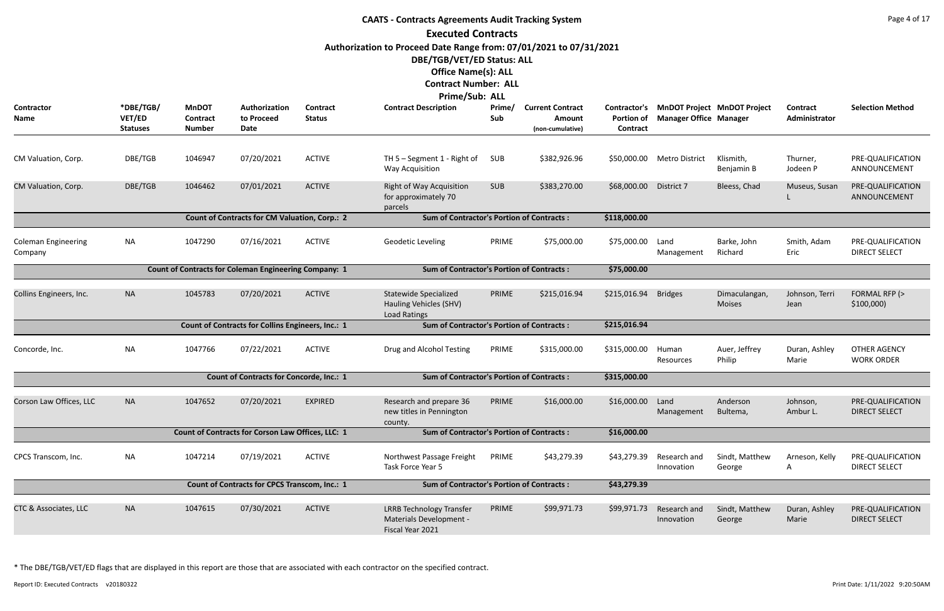## **CAATS - Contracts Agreements Audit Tracking System Executed Contracts Authorization to Proceed Date Range from: 07/01/2021 to 07/31/2021 DBE/TGB/VET/ED Status: ALL Office Name(s): ALL Contract Number: ALL**

|                                       |                                               |                                           |                                                              |                           | Prime/Sub: ALL                                                                 |               |                                                       |                                               |                               |                                    |                           |                                           |
|---------------------------------------|-----------------------------------------------|-------------------------------------------|--------------------------------------------------------------|---------------------------|--------------------------------------------------------------------------------|---------------|-------------------------------------------------------|-----------------------------------------------|-------------------------------|------------------------------------|---------------------------|-------------------------------------------|
| Contractor<br>Name                    | *DBE/TGB/<br><b>VET/ED</b><br><b>Statuses</b> | <b>MnDOT</b><br>Contract<br><b>Number</b> | Authorization<br>to Proceed<br>Date                          | Contract<br><b>Status</b> | <b>Contract Description</b>                                                    | Prime/<br>Sub | <b>Current Contract</b><br>Amount<br>(non-cumulative) | Contractor's<br><b>Portion of</b><br>Contract | <b>Manager Office Manager</b> | <b>MnDOT Project MnDOT Project</b> | Contract<br>Administrator | <b>Selection Method</b>                   |
|                                       |                                               |                                           |                                                              |                           |                                                                                |               |                                                       |                                               |                               |                                    |                           |                                           |
| CM Valuation, Corp.                   | DBE/TGB                                       | 1046947                                   | 07/20/2021                                                   | <b>ACTIVE</b>             | TH $5 -$ Segment 1 - Right of<br><b>Way Acquisition</b>                        | SUB           | \$382,926.96                                          | \$50,000.00                                   | <b>Metro District</b>         | Klismith,<br>Benjamin B            | Thurner,<br>Jodeen P      | PRE-QUALIFICATION<br>ANNOUNCEMENT         |
| CM Valuation, Corp.                   | DBE/TGB                                       | 1046462                                   | 07/01/2021                                                   | <b>ACTIVE</b>             | <b>Right of Way Acquisition</b><br>for approximately 70<br>parcels             | <b>SUB</b>    | \$383,270.00                                          | \$68,000.00                                   | District 7                    | Bleess, Chad                       | Museus, Susan             | PRE-QUALIFICATION<br>ANNOUNCEMENT         |
|                                       |                                               |                                           | <b>Count of Contracts for CM Valuation, Corp.: 2</b>         |                           | <b>Sum of Contractor's Portion of Contracts:</b>                               |               |                                                       | \$118,000.00                                  |                               |                                    |                           |                                           |
| <b>Coleman Engineering</b><br>Company | <b>NA</b>                                     | 1047290                                   | 07/16/2021                                                   | <b>ACTIVE</b>             | <b>Geodetic Leveling</b>                                                       | PRIME         | \$75,000.00                                           | \$75,000.00                                   | Land<br>Management            | Barke, John<br>Richard             | Smith, Adam<br>Eric       | PRE-QUALIFICATION<br><b>DIRECT SELECT</b> |
|                                       |                                               |                                           | <b>Count of Contracts for Coleman Engineering Company: 1</b> |                           | <b>Sum of Contractor's Portion of Contracts:</b>                               |               |                                                       | \$75,000.00                                   |                               |                                    |                           |                                           |
| Collins Engineers, Inc.               | <b>NA</b>                                     | 1045783                                   | 07/20/2021                                                   | <b>ACTIVE</b>             | <b>Statewide Specialized</b><br>Hauling Vehicles (SHV)<br><b>Load Ratings</b>  | PRIME         | \$215,016.94                                          | \$215,016.94                                  | <b>Bridges</b>                | Dimaculangan,<br><b>Moises</b>     | Johnson, Terri<br>Jean    | FORMAL RFP (><br>\$100,000                |
|                                       |                                               |                                           | Count of Contracts for Collins Engineers, Inc.: 1            |                           | <b>Sum of Contractor's Portion of Contracts:</b>                               |               |                                                       | \$215,016.94                                  |                               |                                    |                           |                                           |
| Concorde, Inc.                        | <b>NA</b>                                     | 1047766                                   | 07/22/2021                                                   | <b>ACTIVE</b>             | Drug and Alcohol Testing                                                       | PRIME         | \$315,000.00                                          | \$315,000.00                                  | Human<br>Resources            | Auer, Jeffrey<br>Philip            | Duran, Ashley<br>Marie    | <b>OTHER AGENCY</b><br><b>WORK ORDER</b>  |
|                                       |                                               |                                           | <b>Count of Contracts for Concorde, Inc.: 1</b>              |                           | <b>Sum of Contractor's Portion of Contracts:</b>                               |               |                                                       | \$315,000.00                                  |                               |                                    |                           |                                           |
| Corson Law Offices, LLC               | <b>NA</b>                                     | 1047652                                   | 07/20/2021                                                   | <b>EXPIRED</b>            | Research and prepare 36<br>new titles in Pennington<br>county.                 | PRIME         | \$16,000.00                                           | \$16,000.00                                   | Land<br>Management            | Anderson<br>Bultema,               | Johnson,<br>Ambur L.      | PRE-QUALIFICATION<br><b>DIRECT SELECT</b> |
|                                       |                                               |                                           | <b>Count of Contracts for Corson Law Offices, LLC: 1</b>     |                           | <b>Sum of Contractor's Portion of Contracts:</b>                               |               |                                                       | \$16,000.00                                   |                               |                                    |                           |                                           |
| CPCS Transcom, Inc.                   | <b>NA</b>                                     | 1047214                                   | 07/19/2021                                                   | <b>ACTIVE</b>             | Northwest Passage Freight<br>Task Force Year 5                                 | PRIME         | \$43,279.39                                           | \$43,279.39                                   | Research and<br>Innovation    | Sindt, Matthew<br>George           | Arneson, Kelly<br>A       | PRE-QUALIFICATION<br><b>DIRECT SELECT</b> |
|                                       |                                               |                                           | Count of Contracts for CPCS Transcom, Inc.: 1                |                           | <b>Sum of Contractor's Portion of Contracts:</b>                               |               |                                                       | \$43,279.39                                   |                               |                                    |                           |                                           |
| <b>CTC &amp; Associates, LLC</b>      | <b>NA</b>                                     | 1047615                                   | 07/30/2021                                                   | ACTIVE                    | <b>LRRB Technology Transfer</b><br>Materials Development -<br>Fiscal Year 2021 | PRIME         | \$99,971.73                                           | \$99,971.73                                   | Research and<br>Innovation    | Sindt, Matthew<br>George           | Duran, Ashley<br>Marie    | PRE-QUALIFICATION<br><b>DIRECT SELECT</b> |

\* The DBE/TGB/VET/ED flags that are displayed in this report are those that are associated with each contractor on the specified contract.

Report ID: Executed Contracts v20180322 Print Date: 1/11/2022 9:20:50AM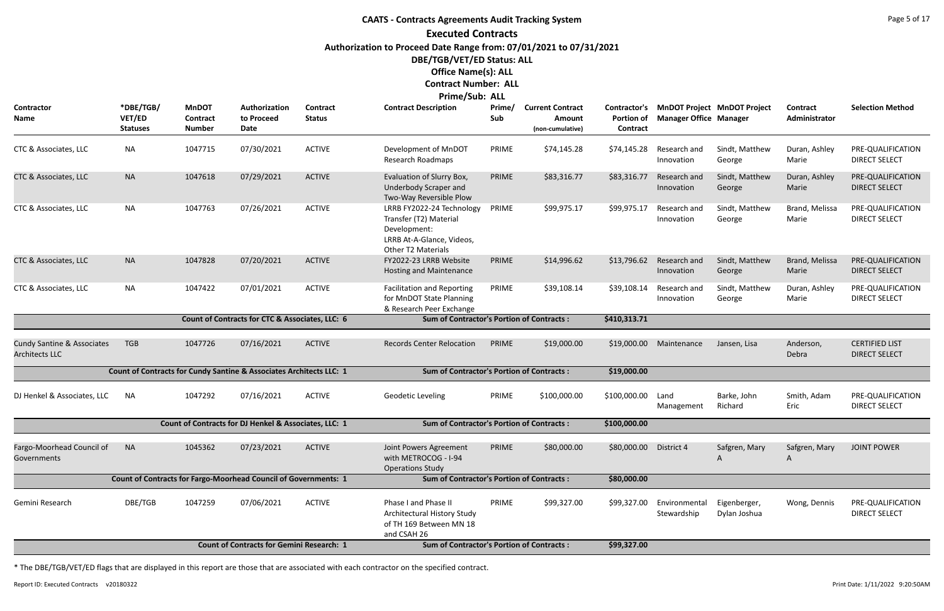## **CAATS - Contracts Agreements Audit Tracking System Executed Contracts Authorization to Proceed Date Range from: 07/01/2021 to 07/31/2021 DBE/TGB/VET/ED Status: ALL Office Name(s): ALL Contract Number: ALL**

# **Prime/Sub: ALL**

| Contractor<br>Name                                             | *DBE/TGB/<br><b>VET/ED</b><br><b>Statuses</b> | <b>MnDOT</b><br>Contract<br><b>Number</b> | Authorization<br>to Proceed<br>Date                                    | <b>Contract</b><br><b>Status</b> | <b>Contract Description</b>                                                                                            | Prime/<br>Sub | <b>Current Contract</b><br><b>Amount</b><br>(non-cumulative) | Contractor's<br><b>Portion of</b><br>Contract | <b>Manager Office Manager</b> | <b>MnDOT Project MnDOT Project</b> | Contract<br>Administrator | <b>Selection Method</b>                       |
|----------------------------------------------------------------|-----------------------------------------------|-------------------------------------------|------------------------------------------------------------------------|----------------------------------|------------------------------------------------------------------------------------------------------------------------|---------------|--------------------------------------------------------------|-----------------------------------------------|-------------------------------|------------------------------------|---------------------------|-----------------------------------------------|
| CTC & Associates, LLC                                          | <b>NA</b>                                     | 1047715                                   | 07/30/2021                                                             | <b>ACTIVE</b>                    | Development of MnDOT<br>Research Roadmaps                                                                              | PRIME         | \$74,145.28                                                  | \$74,145.28                                   | Research and<br>Innovation    | Sindt, Matthew<br>George           | Duran, Ashley<br>Marie    | PRE-QUALIFICATION<br><b>DIRECT SELECT</b>     |
| CTC & Associates, LLC                                          | <b>NA</b>                                     | 1047618                                   | 07/29/2021                                                             | <b>ACTIVE</b>                    | Evaluation of Slurry Box,<br><b>Underbody Scraper and</b><br>Two-Way Reversible Plow                                   | PRIME         | \$83,316.77                                                  | \$83,316.77                                   | Research and<br>Innovation    | Sindt, Matthew<br>George           | Duran, Ashley<br>Marie    | PRE-QUALIFICATION<br><b>DIRECT SELECT</b>     |
| CTC & Associates, LLC                                          | NA                                            | 1047763                                   | 07/26/2021                                                             | <b>ACTIVE</b>                    | LRRB FY2022-24 Technology<br>Transfer (T2) Material<br>Development:<br>LRRB At-A-Glance, Videos,<br>Other T2 Materials | PRIME         | \$99,975.17                                                  | \$99,975.17                                   | Research and<br>Innovation    | Sindt, Matthew<br>George           | Brand, Melissa<br>Marie   | PRE-QUALIFICATION<br><b>DIRECT SELECT</b>     |
| CTC & Associates, LLC                                          | <b>NA</b>                                     | 1047828                                   | 07/20/2021                                                             | <b>ACTIVE</b>                    | FY2022-23 LRRB Website<br>Hosting and Maintenance                                                                      | PRIME         | \$14,996.62                                                  | \$13,796.62                                   | Research and<br>Innovation    | Sindt, Matthew<br>George           | Brand, Melissa<br>Marie   | PRE-QUALIFICATION<br><b>DIRECT SELECT</b>     |
| CTC & Associates, LLC                                          | <b>NA</b>                                     | 1047422                                   | 07/01/2021                                                             | <b>ACTIVE</b>                    | <b>Facilitation and Reporting</b><br>for MnDOT State Planning<br>& Research Peer Exchange                              | PRIME         | \$39,108.14                                                  | \$39,108.14                                   | Research and<br>Innovation    | Sindt, Matthew<br>George           | Duran, Ashley<br>Marie    | PRE-QUALIFICATION<br><b>DIRECT SELECT</b>     |
|                                                                |                                               |                                           | Count of Contracts for CTC & Associates, LLC: 6                        |                                  | <b>Sum of Contractor's Portion of Contracts:</b>                                                                       |               |                                                              | \$410,313.71                                  |                               |                                    |                           |                                               |
| <b>Cundy Santine &amp; Associates</b><br><b>Architects LLC</b> | <b>TGB</b>                                    | 1047726                                   | 07/16/2021                                                             | <b>ACTIVE</b>                    | <b>Records Center Relocation</b>                                                                                       | PRIME         | \$19,000.00                                                  | \$19,000.00                                   | Maintenance                   | Jansen, Lisa                       | Anderson,<br>Debra        | <b>CERTIFIED LIST</b><br><b>DIRECT SELECT</b> |
|                                                                |                                               |                                           | Count of Contracts for Cundy Santine & Associates Architects LLC: 1    |                                  | <b>Sum of Contractor's Portion of Contracts:</b>                                                                       |               |                                                              | \$19,000.00                                   |                               |                                    |                           |                                               |
| DJ Henkel & Associates, LLC                                    | NA.                                           | 1047292                                   | 07/16/2021                                                             | <b>ACTIVE</b>                    | Geodetic Leveling                                                                                                      | PRIME         | \$100,000.00                                                 | \$100,000.00                                  | Land<br>Management            | Barke, John<br>Richard             | Smith, Adam<br>Eric       | PRE-QUALIFICATION<br><b>DIRECT SELECT</b>     |
|                                                                |                                               |                                           | Count of Contracts for DJ Henkel & Associates, LLC: 1                  |                                  | <b>Sum of Contractor's Portion of Contracts:</b>                                                                       |               |                                                              | \$100,000.00                                  |                               |                                    |                           |                                               |
| Fargo-Moorhead Council of<br>Governments                       | <b>NA</b>                                     | 1045362                                   | 07/23/2021                                                             | <b>ACTIVE</b>                    | Joint Powers Agreement<br>with METROCOG - I-94<br><b>Operations Study</b>                                              | PRIME         | \$80,000.00                                                  | \$80,000.00 District 4                        |                               | Safgren, Mary                      | Safgren, Mary<br>A        | <b>JOINT POWER</b>                            |
|                                                                |                                               |                                           | <b>Count of Contracts for Fargo-Moorhead Council of Governments: 1</b> |                                  | <b>Sum of Contractor's Portion of Contracts:</b>                                                                       |               |                                                              | \$80,000.00                                   |                               |                                    |                           |                                               |
| Gemini Research                                                | DBE/TGB                                       | 1047259                                   | 07/06/2021                                                             | <b>ACTIVE</b>                    | Phase I and Phase II<br>Architectural History Study<br>of TH 169 Between MN 18<br>and CSAH 26                          | PRIME         | \$99,327.00                                                  | \$99,327.00                                   | Environmental<br>Stewardship  | Eigenberger,<br>Dylan Joshua       | Wong, Dennis              | PRE-QUALIFICATION<br><b>DIRECT SELECT</b>     |
|                                                                |                                               |                                           | <b>Count of Contracts for Gemini Research: 1</b>                       |                                  | <b>Sum of Contractor's Portion of Contracts:</b>                                                                       |               |                                                              | \$99,327.00                                   |                               |                                    |                           |                                               |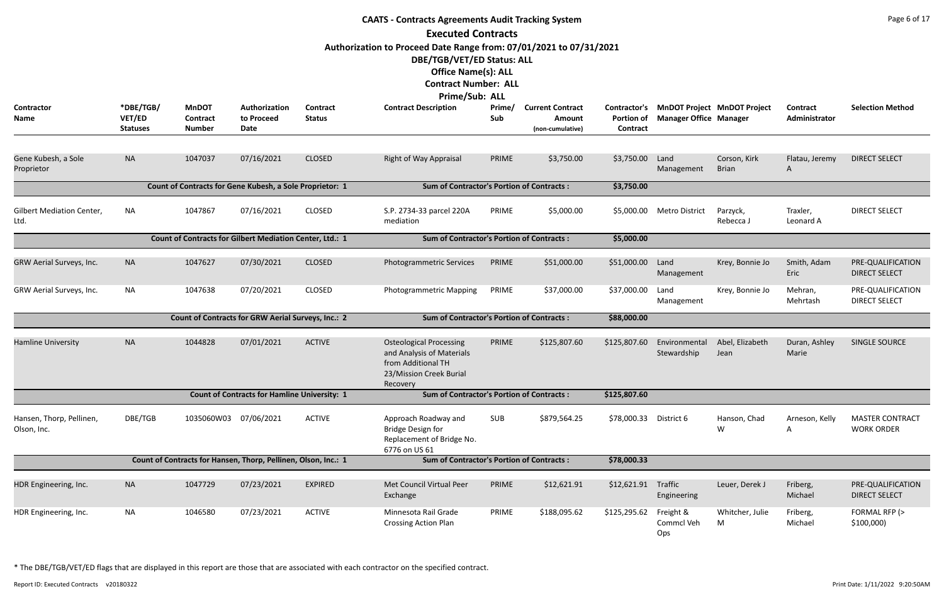|                                          | <b>CAATS - Contracts Agreements Audit Tracking System</b><br><b>Executed Contracts</b><br>Authorization to Proceed Date Range from: 07/01/2021 to 07/31/2021<br>DBE/TGB/VET/ED Status: ALL<br><b>Office Name(s): ALL</b> |                                                  |                                                                |                                  |                                                                                                                          |               |                                                       |                                        |                                |                                    |                                  |                                             |  |  |
|------------------------------------------|--------------------------------------------------------------------------------------------------------------------------------------------------------------------------------------------------------------------------|--------------------------------------------------|----------------------------------------------------------------|----------------------------------|--------------------------------------------------------------------------------------------------------------------------|---------------|-------------------------------------------------------|----------------------------------------|--------------------------------|------------------------------------|----------------------------------|---------------------------------------------|--|--|
|                                          |                                                                                                                                                                                                                          |                                                  |                                                                |                                  | <b>Contract Number: ALL</b><br>Prime/Sub: ALL                                                                            |               |                                                       |                                        |                                |                                    |                                  |                                             |  |  |
| Contractor<br>Name                       | *DBE/TGB/<br>VET/ED<br><b>Statuses</b>                                                                                                                                                                                   | <b>MnDOT</b><br><b>Contract</b><br><b>Number</b> | Authorization<br>to Proceed<br>Date                            | <b>Contract</b><br><b>Status</b> | <b>Contract Description</b>                                                                                              | Prime/<br>Sub | <b>Current Contract</b><br>Amount<br>(non-cumulative) | Contractor's<br>Portion of<br>Contract | <b>Manager Office Manager</b>  | <b>MnDOT Project MnDOT Project</b> | <b>Contract</b><br>Administrator | <b>Selection Method</b>                     |  |  |
| Gene Kubesh, a Sole<br>Proprietor        | <b>NA</b>                                                                                                                                                                                                                | 1047037                                          | 07/16/2021                                                     | <b>CLOSED</b>                    | <b>Right of Way Appraisal</b>                                                                                            | PRIME         | \$3,750.00                                            | \$3,750.00                             | Land<br>Management             | Corson, Kirk<br><b>Brian</b>       | Flatau, Jeremy<br>A              | <b>DIRECT SELECT</b>                        |  |  |
|                                          |                                                                                                                                                                                                                          |                                                  | Count of Contracts for Gene Kubesh, a Sole Proprietor: 1       |                                  | <b>Sum of Contractor's Portion of Contracts:</b>                                                                         |               |                                                       | \$3,750.00                             |                                |                                    |                                  |                                             |  |  |
| <b>Gilbert Mediation Center,</b><br>Ltd. | <b>NA</b>                                                                                                                                                                                                                | 1047867                                          | 07/16/2021                                                     | <b>CLOSED</b>                    | S.P. 2734-33 parcel 220A<br>mediation                                                                                    | PRIME         | \$5,000.00                                            | \$5,000.00                             | <b>Metro District</b>          | Parzyck,<br>Rebecca J              | Traxler,<br>Leonard A            | <b>DIRECT SELECT</b>                        |  |  |
|                                          |                                                                                                                                                                                                                          |                                                  | Count of Contracts for Gilbert Mediation Center, Ltd.: 1       |                                  | <b>Sum of Contractor's Portion of Contracts:</b>                                                                         |               |                                                       | \$5,000.00                             |                                |                                    |                                  |                                             |  |  |
| GRW Aerial Surveys, Inc.                 | <b>NA</b>                                                                                                                                                                                                                | 1047627                                          | 07/30/2021                                                     | <b>CLOSED</b>                    | Photogrammetric Services                                                                                                 | PRIME         | \$51,000.00                                           | \$51,000.00                            | Land<br>Management             | Krey, Bonnie Jo                    | Smith, Adam<br>Eric              | PRE-QUALIFICATION<br><b>DIRECT SELECT</b>   |  |  |
| GRW Aerial Surveys, Inc.                 | <b>NA</b>                                                                                                                                                                                                                | 1047638                                          | 07/20/2021                                                     | <b>CLOSED</b>                    | Photogrammetric Mapping                                                                                                  | PRIME         | \$37,000.00                                           | \$37,000.00                            | Land<br>Management             | Krey, Bonnie Jo                    | Mehran,<br>Mehrtash              | PRE-QUALIFICATION<br>DIRECT SELECT          |  |  |
|                                          |                                                                                                                                                                                                                          |                                                  | Count of Contracts for GRW Aerial Surveys, Inc.: 2             |                                  | <b>Sum of Contractor's Portion of Contracts:</b>                                                                         |               |                                                       | \$88,000.00                            |                                |                                    |                                  |                                             |  |  |
| <b>Hamline University</b>                | <b>NA</b>                                                                                                                                                                                                                | 1044828                                          | 07/01/2021                                                     | <b>ACTIVE</b>                    | <b>Osteological Processing</b><br>and Analysis of Materials<br>from Additional TH<br>23/Mission Creek Burial<br>Recovery | PRIME         | \$125,807.60                                          | \$125,807.60                           | Environmental<br>Stewardship   | Abel, Elizabeth<br>Jean            | Duran, Ashley<br>Marie           | SINGLE SOURCE                               |  |  |
|                                          |                                                                                                                                                                                                                          |                                                  | <b>Count of Contracts for Hamline University: 1</b>            |                                  | <b>Sum of Contractor's Portion of Contracts:</b>                                                                         |               |                                                       | \$125,807.60                           |                                |                                    |                                  |                                             |  |  |
| Hansen, Thorp, Pellinen,<br>Olson, Inc.  | DBE/TGB                                                                                                                                                                                                                  | 1035060W03                                       | 07/06/2021                                                     | <b>ACTIVE</b>                    | Approach Roadway and<br><b>Bridge Design for</b><br>Replacement of Bridge No.<br>6776 on US 61                           | SUB           | \$879,564.25                                          | \$78,000.33                            | District 6                     | Hanson, Chad<br>W                  | Arneson, Kelly<br>A              | <b>MASTER CONTRACT</b><br><b>WORK ORDER</b> |  |  |
|                                          |                                                                                                                                                                                                                          |                                                  | Count of Contracts for Hansen, Thorp, Pellinen, Olson, Inc.: 1 |                                  | <b>Sum of Contractor's Portion of Contracts:</b>                                                                         |               |                                                       | \$78,000.33                            |                                |                                    |                                  |                                             |  |  |
| HDR Engineering, Inc.                    | <b>NA</b>                                                                                                                                                                                                                | 1047729                                          | 07/23/2021                                                     | <b>EXPIRED</b>                   | Met Council Virtual Peer<br>Exchange                                                                                     | PRIME         | \$12,621.91                                           | \$12,621.91                            | Traffic<br>Engineering         | Leuer, Derek J                     | Friberg,<br>Michael              | PRE-QUALIFICATION<br><b>DIRECT SELECT</b>   |  |  |
| HDR Engineering, Inc.                    | <b>NA</b>                                                                                                                                                                                                                | 1046580                                          | 07/23/2021                                                     | <b>ACTIVE</b>                    | Minnesota Rail Grade<br><b>Crossing Action Plan</b>                                                                      | PRIME         | \$188,095.62                                          | \$125,295.62                           | Freight &<br>Commcl Veh<br>Ops | Whitcher, Julie<br>M               | Friberg,<br>Michael              | FORMAL RFP (><br>\$100,000                  |  |  |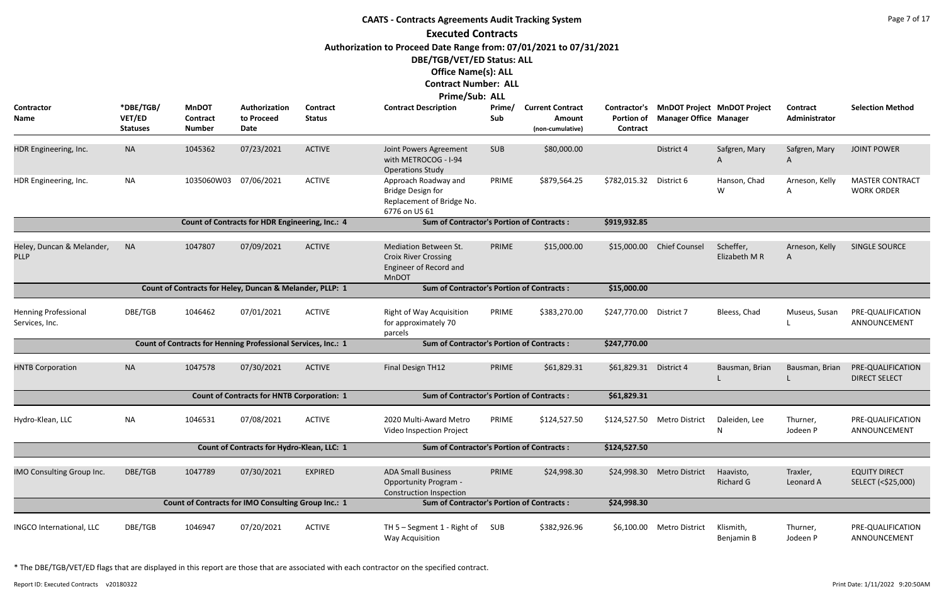|                                               |                                        |                                                               |                                                   |                                  | <b>CAATS - Contracts Agreements Audit Tracking System</b>                                                 |               |                                                       |                                                      |                               |                                    |                           | Page 7 of 17                                |
|-----------------------------------------------|----------------------------------------|---------------------------------------------------------------|---------------------------------------------------|----------------------------------|-----------------------------------------------------------------------------------------------------------|---------------|-------------------------------------------------------|------------------------------------------------------|-------------------------------|------------------------------------|---------------------------|---------------------------------------------|
|                                               |                                        |                                                               |                                                   |                                  | <b>Executed Contracts</b><br>Authorization to Proceed Date Range from: 07/01/2021 to 07/31/2021           |               |                                                       |                                                      |                               |                                    |                           |                                             |
|                                               |                                        |                                                               |                                                   |                                  | DBE/TGB/VET/ED Status: ALL<br><b>Office Name(s): ALL</b><br><b>Contract Number: ALL</b><br>Prime/Sub: ALL |               |                                                       |                                                      |                               |                                    |                           |                                             |
| Contractor<br><b>Name</b>                     | *DBE/TGB/<br>VET/ED<br><b>Statuses</b> | <b>MnDOT</b><br>Contract<br><b>Number</b>                     | Authorization<br>to Proceed<br>Date               | <b>Contract</b><br><b>Status</b> | <b>Contract Description</b>                                                                               | Prime/<br>Sub | <b>Current Contract</b><br>Amount<br>(non-cumulative) | Contractor's<br><b>Portion of</b><br><b>Contract</b> | <b>Manager Office Manager</b> | <b>MnDOT Project MnDOT Project</b> | Contract<br>Administrator | <b>Selection Method</b>                     |
| HDR Engineering, Inc.                         | <b>NA</b>                              | 1045362                                                       | 07/23/2021                                        | <b>ACTIVE</b>                    | Joint Powers Agreement<br>with METROCOG - I-94<br><b>Operations Study</b>                                 | <b>SUB</b>    | \$80,000.00                                           |                                                      | District 4                    | Safgren, Mary<br>A                 | Safgren, Mary<br>A        | <b>JOINT POWER</b>                          |
| HDR Engineering, Inc.                         | <b>NA</b>                              | 1035060W03                                                    | 07/06/2021                                        | <b>ACTIVE</b>                    | Approach Roadway and<br><b>Bridge Design for</b><br>Replacement of Bridge No.<br>6776 on US 61            | PRIME         | \$879,564.25                                          | \$782,015.32                                         | District 6                    | Hanson, Chad<br>W                  | Arneson, Kelly<br>A       | <b>MASTER CONTRACT</b><br><b>WORK ORDER</b> |
|                                               |                                        |                                                               | Count of Contracts for HDR Engineering, Inc.: 4   |                                  | <b>Sum of Contractor's Portion of Contracts:</b>                                                          |               |                                                       | \$919,932.85                                         |                               |                                    |                           |                                             |
| Heley, Duncan & Melander,<br><b>PLLP</b>      | <b>NA</b>                              | 1047807                                                       | 07/09/2021                                        | <b>ACTIVE</b>                    | <b>Mediation Between St.</b><br><b>Croix River Crossing</b><br>Engineer of Record and<br><b>MnDOT</b>     | PRIME         | \$15,000.00                                           | \$15,000.00                                          | <b>Chief Counsel</b>          | Scheffer,<br>Elizabeth M R         | Arneson, Kelly<br>A       | <b>SINGLE SOURCE</b>                        |
|                                               |                                        | Count of Contracts for Heley, Duncan & Melander, PLLP: 1      |                                                   |                                  | <b>Sum of Contractor's Portion of Contracts:</b>                                                          |               |                                                       | \$15,000.00                                          |                               |                                    |                           |                                             |
| <b>Henning Professional</b><br>Services, Inc. | DBE/TGB                                | 1046462                                                       | 07/01/2021                                        | <b>ACTIVE</b>                    | <b>Right of Way Acquisition</b><br>for approximately 70<br>parcels                                        | PRIME         | \$383,270.00                                          | \$247,770.00 District 7                              |                               | Bleess, Chad                       | Museus, Susan             | PRE-QUALIFICATION<br>ANNOUNCEMENT           |
|                                               |                                        | Count of Contracts for Henning Professional Services, Inc.: 1 |                                                   |                                  | <b>Sum of Contractor's Portion of Contracts:</b>                                                          |               |                                                       | \$247,770.00                                         |                               |                                    |                           |                                             |
| <b>HNTB Corporation</b>                       | <b>NA</b>                              | 1047578                                                       | 07/30/2021                                        | <b>ACTIVE</b>                    | Final Design TH12                                                                                         | PRIME         | \$61,829.31                                           | \$61,829.31 District 4                               |                               | Bausman, Brian                     | Bausman, Brian            | PRE-QUALIFICATION<br><b>DIRECT SELECT</b>   |
|                                               |                                        |                                                               | <b>Count of Contracts for HNTB Corporation: 1</b> |                                  | <b>Sum of Contractor's Portion of Contracts:</b>                                                          |               |                                                       | \$61,829.31                                          |                               |                                    |                           |                                             |
| Hydro-Klean, LLC                              | <b>NA</b>                              | 1046531                                                       | 07/08/2021                                        | <b>ACTIVE</b>                    | 2020 Multi-Award Metro<br>Video Inspection Project                                                        | PRIME         | \$124,527.50                                          |                                                      | \$124,527.50 Metro District   | Daleiden, Lee<br>N                 | Thurner,<br>Jodeen P      | PRE-QUALIFICATION<br>ANNOUNCEMENT           |
|                                               |                                        |                                                               | Count of Contracts for Hydro-Klean, LLC: 1        |                                  | <b>Sum of Contractor's Portion of Contracts:</b>                                                          |               |                                                       | \$124,527.50                                         |                               |                                    |                           |                                             |
| IMO Consulting Group Inc.                     | DBE/TGB                                | 1047789                                                       | 07/30/2021                                        | <b>EXPIRED</b>                   | <b>ADA Small Business</b><br><b>Opportunity Program -</b><br><b>Construction Inspection</b>               | PRIME         | \$24,998.30                                           | \$24,998.30                                          | <b>Metro District</b>         | Haavisto,<br>Richard G             | Traxler,<br>Leonard A     | <b>EQUITY DIRECT</b><br>SELECT (<\$25,000)  |
|                                               |                                        | Count of Contracts for IMO Consulting Group Inc.: 1           |                                                   |                                  | <b>Sum of Contractor's Portion of Contracts:</b>                                                          |               |                                                       | \$24,998.30                                          |                               |                                    |                           |                                             |
| INGCO International, LLC                      | DBE/TGB                                | 1046947                                                       | 07/20/2021                                        | <b>ACTIVE</b>                    | TH 5 - Segment 1 - Right of<br>Way Acquisition                                                            | SUB           | \$382,926.96                                          | \$6,100.00                                           | <b>Metro District</b>         | Klismith,<br>Benjamin B            | Thurner,<br>Jodeen P      | PRE-QUALIFICATION<br>ANNOUNCEMENT           |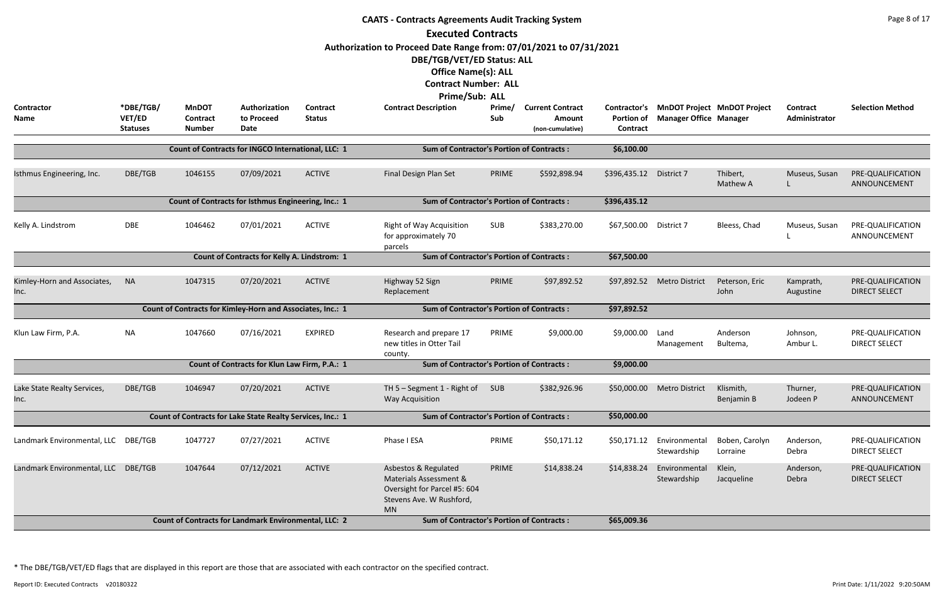|                                     |                                        |                                                  |                                                              |                           | <b>CAATS - Contracts Agreements Audit Tracking System</b><br><b>Executed Contracts</b>                                                                                                 |               |                                                       |                                                      |                                                                     |                            |                           | Page 8 of 17                              |
|-------------------------------------|----------------------------------------|--------------------------------------------------|--------------------------------------------------------------|---------------------------|----------------------------------------------------------------------------------------------------------------------------------------------------------------------------------------|---------------|-------------------------------------------------------|------------------------------------------------------|---------------------------------------------------------------------|----------------------------|---------------------------|-------------------------------------------|
|                                     |                                        |                                                  |                                                              |                           | Authorization to Proceed Date Range from: 07/01/2021 to 07/31/2021<br>DBE/TGB/VET/ED Status: ALL<br><b>Office Name(s): ALL</b><br><b>Contract Number: ALL</b><br><b>Prime/Sub: ALL</b> |               |                                                       |                                                      |                                                                     |                            |                           |                                           |
| <b>Contractor</b><br>Name           | *DBE/TGB/<br>VET/ED<br><b>Statuses</b> | <b>MnDOT</b><br><b>Contract</b><br><b>Number</b> | Authorization<br>to Proceed<br>Date                          | Contract<br><b>Status</b> | <b>Contract Description</b>                                                                                                                                                            | Prime/<br>Sub | <b>Current Contract</b><br>Amount<br>(non-cumulative) | <b>Contractor's</b><br><b>Portion of</b><br>Contract | <b>MnDOT Project MnDOT Project</b><br><b>Manager Office Manager</b> |                            | Contract<br>Administrator | <b>Selection Method</b>                   |
|                                     |                                        |                                                  | Count of Contracts for INGCO International, LLC: 1           |                           | <b>Sum of Contractor's Portion of Contracts:</b>                                                                                                                                       |               |                                                       | \$6,100.00                                           |                                                                     |                            |                           |                                           |
| Isthmus Engineering, Inc.           | DBE/TGB                                | 1046155                                          | 07/09/2021                                                   | <b>ACTIVE</b>             | Final Design Plan Set                                                                                                                                                                  | PRIME         | \$592,898.94                                          | \$396,435.12                                         | District 7                                                          | Thibert,<br>Mathew A       | Museus, Susan             | PRE-QUALIFICATION<br>ANNOUNCEMENT         |
|                                     |                                        |                                                  | Count of Contracts for Isthmus Engineering, Inc.: 1          |                           | <b>Sum of Contractor's Portion of Contracts:</b>                                                                                                                                       |               |                                                       | \$396,435.12                                         |                                                                     |                            |                           |                                           |
| Kelly A. Lindstrom                  | DBE                                    | District 7                                       | Bleess, Chad                                                 | Museus, Susan             | PRE-QUALIFICATION<br>ANNOUNCEMENT                                                                                                                                                      |               |                                                       |                                                      |                                                                     |                            |                           |                                           |
|                                     |                                        |                                                  | <b>Count of Contracts for Kelly A. Lindstrom: 1</b>          |                           | <b>Sum of Contractor's Portion of Contracts:</b>                                                                                                                                       |               |                                                       | \$67,500.00                                          |                                                                     |                            |                           |                                           |
| Kimley-Horn and Associates,<br>Inc. | <b>NA</b>                              | 1047315                                          | 07/20/2021                                                   | <b>ACTIVE</b>             | Highway 52 Sign<br>Replacement                                                                                                                                                         | PRIME         | \$97,892.52                                           | \$97,892.52                                          | <b>Metro District</b>                                               | Peterson, Eric<br>John     | Kamprath,<br>Augustine    | PRE-QUALIFICATION<br><b>DIRECT SELECT</b> |
|                                     |                                        |                                                  | Count of Contracts for Kimley-Horn and Associates, Inc.: 1   |                           | <b>Sum of Contractor's Portion of Contracts:</b>                                                                                                                                       |               |                                                       | \$97,892.52                                          |                                                                     |                            |                           |                                           |
| Klun Law Firm, P.A.                 | <b>NA</b>                              | 1047660                                          | 07/16/2021                                                   | <b>EXPIRED</b>            | Research and prepare 17<br>new titles in Otter Tail<br>county.                                                                                                                         | PRIME         | \$9,000.00                                            | \$9,000.00                                           | Land<br>Management                                                  | Anderson<br>Bultema,       | Johnson,<br>Ambur L.      | PRE-QUALIFICATION<br><b>DIRECT SELECT</b> |
|                                     |                                        |                                                  | Count of Contracts for Klun Law Firm, P.A.: 1                |                           | <b>Sum of Contractor's Portion of Contracts:</b>                                                                                                                                       |               |                                                       | \$9,000.00                                           |                                                                     |                            |                           |                                           |
| Lake State Realty Services,<br>Inc. | DBE/TGB                                | 1046947                                          | 07/20/2021                                                   | <b>ACTIVE</b>             | TH 5 - Segment 1 - Right of<br>Way Acquisition                                                                                                                                         | <b>SUB</b>    | \$382,926.96                                          | \$50,000.00                                          | <b>Metro District</b>                                               | Klismith,<br>Benjamin B    | Thurner,<br>Jodeen P      | PRE-QUALIFICATION<br>ANNOUNCEMENT         |
|                                     |                                        |                                                  | Count of Contracts for Lake State Realty Services, Inc.: 1   |                           | <b>Sum of Contractor's Portion of Contracts:</b>                                                                                                                                       |               |                                                       | \$50,000.00                                          |                                                                     |                            |                           |                                           |
| Landmark Environmental, LLC DBE/TGB |                                        | 1047727                                          | 07/27/2021                                                   | <b>ACTIVE</b>             | Phase I ESA                                                                                                                                                                            | PRIME         | \$50,171.12                                           | \$50,171.12                                          | Environmental<br>Stewardship                                        | Boben, Carolyn<br>Lorraine | Anderson,<br>Debra        | PRE-QUALIFICATION<br><b>DIRECT SELECT</b> |
| Landmark Environmental, LLC DBE/TGB |                                        | 1047644                                          | 07/12/2021                                                   | <b>ACTIVE</b>             | Asbestos & Regulated<br>Materials Assessment &<br>Oversight for Parcel #5: 604<br>Stevens Ave. W Rushford,<br><b>MN</b>                                                                | PRIME         | \$14,838.24                                           | \$14,838.24                                          | Environmental<br>Stewardship                                        | Klein,<br>Jacqueline       | Anderson,<br>Debra        | PRE-QUALIFICATION<br><b>DIRECT SELECT</b> |
|                                     |                                        |                                                  | <b>Count of Contracts for Landmark Environmental, LLC: 2</b> |                           | <b>Sum of Contractor's Portion of Contracts:</b>                                                                                                                                       |               |                                                       | \$65,009.36                                          |                                                                     |                            |                           |                                           |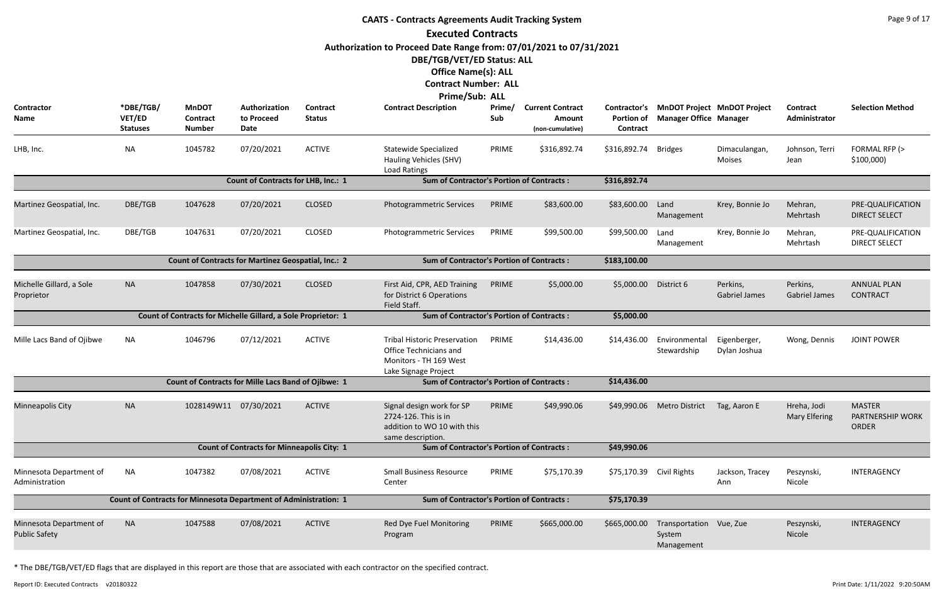|                                                 |                                        |                                                                         |                                                   |                           | <b>CAATS - Contracts Agreements Audit Tracking System</b>                                                       |               |                                                       |                                                      |                                                                     |                                  |                                     | Page 9 of 17                                      |
|-------------------------------------------------|----------------------------------------|-------------------------------------------------------------------------|---------------------------------------------------|---------------------------|-----------------------------------------------------------------------------------------------------------------|---------------|-------------------------------------------------------|------------------------------------------------------|---------------------------------------------------------------------|----------------------------------|-------------------------------------|---------------------------------------------------|
|                                                 |                                        |                                                                         |                                                   |                           | <b>Executed Contracts</b>                                                                                       |               |                                                       |                                                      |                                                                     |                                  |                                     |                                                   |
|                                                 |                                        |                                                                         |                                                   |                           | Authorization to Proceed Date Range from: 07/01/2021 to 07/31/2021                                              |               |                                                       |                                                      |                                                                     |                                  |                                     |                                                   |
|                                                 |                                        |                                                                         |                                                   |                           | DBE/TGB/VET/ED Status: ALL                                                                                      |               |                                                       |                                                      |                                                                     |                                  |                                     |                                                   |
|                                                 |                                        |                                                                         |                                                   |                           | <b>Office Name(s): ALL</b>                                                                                      |               |                                                       |                                                      |                                                                     |                                  |                                     |                                                   |
|                                                 |                                        |                                                                         |                                                   |                           | <b>Contract Number: ALL</b>                                                                                     |               |                                                       |                                                      |                                                                     |                                  |                                     |                                                   |
|                                                 |                                        |                                                                         |                                                   |                           | Prime/Sub: ALL                                                                                                  |               |                                                       |                                                      |                                                                     |                                  |                                     |                                                   |
| Contractor<br>Name                              | *DBE/TGB/<br>VET/ED<br><b>Statuses</b> | <b>MnDOT</b><br><b>Contract</b><br><b>Number</b>                        | Authorization<br>to Proceed<br>Date               | Contract<br><b>Status</b> | <b>Contract Description</b>                                                                                     | Prime/<br>Sub | <b>Current Contract</b><br>Amount<br>(non-cumulative) | <b>Contractor's</b><br><b>Portion of</b><br>Contract | <b>MnDOT Project MnDOT Project</b><br><b>Manager Office Manager</b> |                                  | <b>Contract</b><br>Administrator    | <b>Selection Method</b>                           |
| LHB, Inc.                                       | <b>NA</b>                              | 1045782                                                                 | 07/20/2021                                        | <b>ACTIVE</b>             | Statewide Specialized<br>Hauling Vehicles (SHV)<br>Load Ratings                                                 | PRIME         | \$316,892.74                                          | \$316,892.74                                         | Bridges                                                             | Dimaculangan,<br><b>Moises</b>   | Johnson, Terri<br>Jean              | FORMAL RFP (><br>\$100,000                        |
|                                                 |                                        |                                                                         | <b>Count of Contracts for LHB, Inc.: 1</b>        |                           | <b>Sum of Contractor's Portion of Contracts:</b>                                                                |               |                                                       | \$316,892.74                                         |                                                                     |                                  |                                     |                                                   |
| Martinez Geospatial, Inc.                       | DBE/TGB                                | 1047628                                                                 | 07/20/2021                                        | <b>CLOSED</b>             | <b>Photogrammetric Services</b>                                                                                 | PRIME         | \$83,600.00                                           | \$83,600.00                                          | Land<br>Management                                                  | Krey, Bonnie Jo                  | Mehran,<br>Mehrtash                 | PRE-QUALIFICATION<br><b>DIRECT SELECT</b>         |
| Martinez Geospatial, Inc.                       | DBE/TGB                                | 1047631                                                                 | 07/20/2021                                        | <b>CLOSED</b>             | Photogrammetric Services                                                                                        | PRIME         | \$99,500.00                                           | \$99,500.00                                          | Land<br>Management                                                  | Krey, Bonnie Jo                  | Mehran,<br>Mehrtash                 | PRE-QUALIFICATION<br><b>DIRECT SELECT</b>         |
|                                                 |                                        | Count of Contracts for Martinez Geospatial, Inc.: 2                     |                                                   |                           | <b>Sum of Contractor's Portion of Contracts:</b>                                                                |               |                                                       | \$183,100.00                                         |                                                                     |                                  |                                     |                                                   |
| Michelle Gillard, a Sole<br>Proprietor          | <b>NA</b>                              | 1047858                                                                 | 07/30/2021                                        | <b>CLOSED</b>             | First Aid, CPR, AED Training<br>for District 6 Operations<br>Field Staff.                                       | PRIME         | \$5,000.00                                            | \$5,000.00                                           | District 6                                                          | Perkins,<br><b>Gabriel James</b> | Perkins,<br><b>Gabriel James</b>    | <b>ANNUAL PLAN</b><br><b>CONTRACT</b>             |
|                                                 |                                        | Count of Contracts for Michelle Gillard, a Sole Proprietor: 1           |                                                   |                           | <b>Sum of Contractor's Portion of Contracts:</b>                                                                |               |                                                       | \$5,000.00                                           |                                                                     |                                  |                                     |                                                   |
| Mille Lacs Band of Ojibwe                       | <b>NA</b>                              | 1046796                                                                 | 07/12/2021                                        | <b>ACTIVE</b>             | <b>Tribal Historic Preservation</b><br>Office Technicians and<br>Monitors - TH 169 West<br>Lake Signage Project | PRIME         | \$14,436.00                                           | \$14,436.00                                          | Environmental<br>Stewardship                                        | Eigenberger,<br>Dylan Joshua     | Wong, Dennis                        | <b>JOINT POWER</b>                                |
|                                                 |                                        | <b>Count of Contracts for Mille Lacs Band of Ojibwe: 1</b>              |                                                   |                           | <b>Sum of Contractor's Portion of Contracts:</b>                                                                |               |                                                       | \$14,436.00                                          |                                                                     |                                  |                                     |                                                   |
| Minneapolis City                                | <b>NA</b>                              | 1028149W11 07/30/2021                                                   |                                                   | <b>ACTIVE</b>             | Signal design work for SP<br>2724-126. This is in<br>addition to WO 10 with this<br>same description.           | PRIME         | \$49,990.06                                           | \$49,990.06                                          | <b>Metro District</b>                                               | Tag, Aaron E                     | Hreha, Jodi<br><b>Mary Elfering</b> | <b>MASTER</b><br>PARTNERSHIP WORK<br><b>ORDER</b> |
|                                                 |                                        |                                                                         | <b>Count of Contracts for Minneapolis City: 1</b> |                           | <b>Sum of Contractor's Portion of Contracts:</b>                                                                |               |                                                       | \$49,990.06                                          |                                                                     |                                  |                                     |                                                   |
| Minnesota Department of<br>Administration       | <b>NA</b>                              | 1047382                                                                 | 07/08/2021                                        | <b>ACTIVE</b>             | <b>Small Business Resource</b><br>Center                                                                        | PRIME         | \$75,170.39                                           | \$75,170.39 Civil Rights                             |                                                                     | Jackson, Tracey<br>Ann           | Peszynski,<br>Nicole                | INTERAGENCY                                       |
|                                                 |                                        | <b>Count of Contracts for Minnesota Department of Administration: 1</b> |                                                   |                           | <b>Sum of Contractor's Portion of Contracts:</b>                                                                |               |                                                       | \$75,170.39                                          |                                                                     |                                  |                                     |                                                   |
| Minnesota Department of<br><b>Public Safety</b> | <b>NA</b>                              | 1047588                                                                 | 07/08/2021                                        | <b>ACTIVE</b>             | Red Dye Fuel Monitoring<br>Program                                                                              | PRIME         | \$665,000.00                                          | \$665,000.00                                         | Transportation Vue, Zue<br>System<br>Management                     |                                  | Peszynski,<br>Nicole                | INTERAGENCY                                       |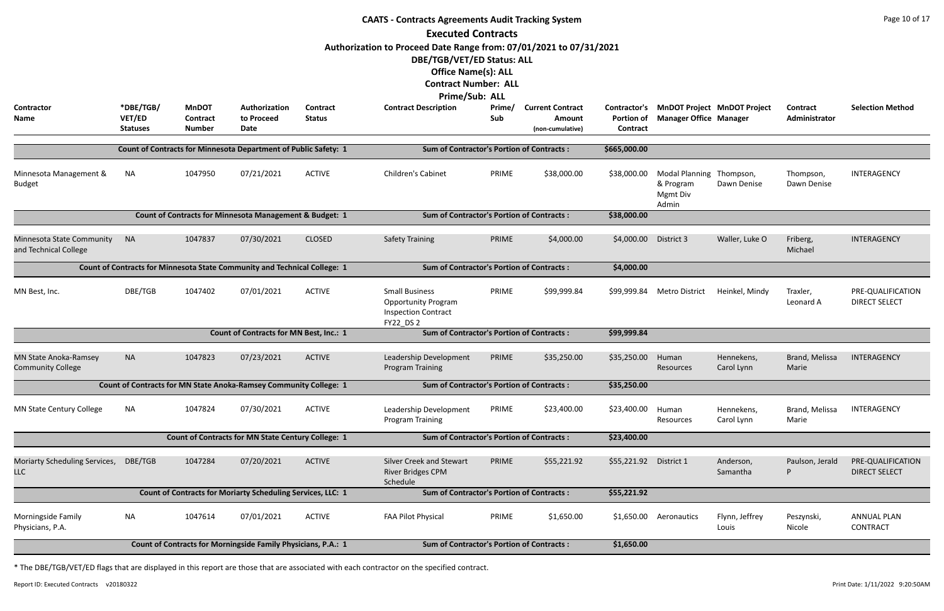|                                                                                                                                                                                                                                                                                                                                           |                                                                                                                            |                                                  |                                                                   |                           | <b>CAATS - Contracts Agreements Audit Tracking System</b><br><b>Executed Contracts</b>                                                                                                                         |               |                                                       |                                               |                                                                     |                          |                                  | Page 10 of 17                             |  |  |
|-------------------------------------------------------------------------------------------------------------------------------------------------------------------------------------------------------------------------------------------------------------------------------------------------------------------------------------------|----------------------------------------------------------------------------------------------------------------------------|--------------------------------------------------|-------------------------------------------------------------------|---------------------------|----------------------------------------------------------------------------------------------------------------------------------------------------------------------------------------------------------------|---------------|-------------------------------------------------------|-----------------------------------------------|---------------------------------------------------------------------|--------------------------|----------------------------------|-------------------------------------------|--|--|
| <b>Contractor</b><br>Name                                                                                                                                                                                                                                                                                                                 | *DBE/TGB/<br>VET/ED<br><b>Statuses</b>                                                                                     | <b>MnDOT</b><br><b>Contract</b><br><b>Number</b> | Authorization<br>to Proceed<br>Date                               | Contract<br><b>Status</b> | Authorization to Proceed Date Range from: 07/01/2021 to 07/31/2021<br>DBE/TGB/VET/ED Status: ALL<br><b>Office Name(s): ALL</b><br><b>Contract Number: ALL</b><br>Prime/Sub: ALL<br><b>Contract Description</b> | Prime/<br>Sub | <b>Current Contract</b><br>Amount<br>(non-cumulative) | Contractor's<br><b>Portion of</b><br>Contract | <b>MnDOT Project MnDOT Project</b><br><b>Manager Office Manager</b> |                          | <b>Contract</b><br>Administrator | <b>Selection Method</b>                   |  |  |
|                                                                                                                                                                                                                                                                                                                                           |                                                                                                                            |                                                  | Count of Contracts for Minnesota Department of Public Safety: 1   |                           | <b>Sum of Contractor's Portion of Contracts:</b>                                                                                                                                                               |               |                                                       | \$665,000.00                                  |                                                                     |                          |                                  |                                           |  |  |
| Minnesota Management &<br><b>Budget</b>                                                                                                                                                                                                                                                                                                   | <b>NA</b>                                                                                                                  | 1047950                                          | 07/21/2021                                                        | <b>ACTIVE</b>             | <b>Children's Cabinet</b>                                                                                                                                                                                      | PRIME         | \$38,000.00                                           | \$38,000.00                                   | <b>Modal Planning</b><br>& Program<br>Mgmt Div<br>Admin             | Thompson,<br>Dawn Denise | Thompson,<br>Dawn Denise         | INTERAGENCY                               |  |  |
|                                                                                                                                                                                                                                                                                                                                           | Count of Contracts for Minnesota Management & Budget: 1<br><b>Sum of Contractor's Portion of Contracts:</b><br>\$38,000.00 |                                                  |                                                                   |                           |                                                                                                                                                                                                                |               |                                                       |                                               |                                                                     |                          |                                  |                                           |  |  |
| <b>NA</b><br>1047837<br>07/30/2021<br><b>CLOSED</b><br>PRIME<br>\$4,000.00<br>\$4,000.00<br>District 3<br>Minnesota State Community<br><b>Safety Training</b><br>Waller, Luke O<br>and Technical College<br>Count of Contracts for Minnesota State Community and Technical College: 1<br><b>Sum of Contractor's Portion of Contracts:</b> |                                                                                                                            |                                                  |                                                                   |                           |                                                                                                                                                                                                                |               |                                                       |                                               |                                                                     |                          |                                  | INTERAGENCY                               |  |  |
|                                                                                                                                                                                                                                                                                                                                           |                                                                                                                            |                                                  |                                                                   |                           |                                                                                                                                                                                                                |               |                                                       | \$4,000.00                                    |                                                                     |                          |                                  |                                           |  |  |
| MN Best, Inc.                                                                                                                                                                                                                                                                                                                             | DBE/TGB                                                                                                                    | 1047402                                          | 07/01/2021                                                        | <b>ACTIVE</b>             | <b>Small Business</b><br><b>Opportunity Program</b><br><b>Inspection Contract</b><br><b>FY22 DS2</b>                                                                                                           | PRIME         | \$99,999.84                                           | \$99,999.84                                   | <b>Metro District</b>                                               | Heinkel, Mindy           | Traxler,<br>Leonard A            | PRE-QUALIFICATION<br><b>DIRECT SELECT</b> |  |  |
|                                                                                                                                                                                                                                                                                                                                           |                                                                                                                            |                                                  | <b>Count of Contracts for MN Best, Inc.: 1</b>                    |                           | <b>Sum of Contractor's Portion of Contracts:</b>                                                                                                                                                               |               |                                                       | \$99,999.84                                   |                                                                     |                          |                                  |                                           |  |  |
| <b>MN State Anoka-Ramsey</b><br><b>Community College</b>                                                                                                                                                                                                                                                                                  | <b>NA</b>                                                                                                                  | 1047823                                          | 07/23/2021                                                        | <b>ACTIVE</b>             | Leadership Development<br><b>Program Training</b>                                                                                                                                                              | PRIME         | \$35,250.00                                           | \$35,250.00                                   | Human<br>Resources                                                  | Hennekens,<br>Carol Lynn | Brand, Melissa<br>Marie          | INTERAGENCY                               |  |  |
|                                                                                                                                                                                                                                                                                                                                           |                                                                                                                            |                                                  | Count of Contracts for MN State Anoka-Ramsey Community College: 1 |                           | <b>Sum of Contractor's Portion of Contracts:</b>                                                                                                                                                               |               |                                                       | \$35,250.00                                   |                                                                     |                          |                                  |                                           |  |  |
| MN State Century College                                                                                                                                                                                                                                                                                                                  | NA                                                                                                                         | 1047824                                          | 07/30/2021                                                        | <b>ACTIVE</b>             | Leadership Development<br><b>Program Training</b>                                                                                                                                                              | PRIME         | \$23,400.00                                           | \$23,400.00                                   | Human<br>Resources                                                  | Hennekens,<br>Carol Lynn | Brand, Melissa<br>Marie          | INTERAGENCY                               |  |  |
|                                                                                                                                                                                                                                                                                                                                           |                                                                                                                            |                                                  | <b>Count of Contracts for MN State Century College: 1</b>         |                           | <b>Sum of Contractor's Portion of Contracts:</b>                                                                                                                                                               |               |                                                       | \$23,400.00                                   |                                                                     |                          |                                  |                                           |  |  |
| Moriarty Scheduling Services, DBE/TGB<br><b>LLC</b>                                                                                                                                                                                                                                                                                       |                                                                                                                            | 1047284                                          | 07/20/2021                                                        | <b>ACTIVE</b>             | Silver Creek and Stewart<br><b>River Bridges CPM</b><br>Schedule                                                                                                                                               | PRIME         | \$55,221.92                                           | \$55,221.92 District 1                        |                                                                     | Anderson,<br>Samantha    | Paulson, Jerald<br>P             | PRE-QUALIFICATION<br><b>DIRECT SELECT</b> |  |  |
|                                                                                                                                                                                                                                                                                                                                           |                                                                                                                            |                                                  | Count of Contracts for Moriarty Scheduling Services, LLC: 1       |                           | <b>Sum of Contractor's Portion of Contracts:</b>                                                                                                                                                               |               |                                                       | \$55,221.92                                   |                                                                     |                          |                                  |                                           |  |  |
| Morningside Family<br>Physicians, P.A.                                                                                                                                                                                                                                                                                                    | <b>NA</b>                                                                                                                  | 1047614                                          | 07/01/2021                                                        | <b>ACTIVE</b>             | FAA Pilot Physical                                                                                                                                                                                             | PRIME         | \$1,650.00                                            |                                               | \$1,650.00 Aeronautics                                              | Flynn, Jeffrey<br>Louis  | Peszynski,<br>Nicole             | <b>ANNUAL PLAN</b><br><b>CONTRACT</b>     |  |  |
|                                                                                                                                                                                                                                                                                                                                           |                                                                                                                            |                                                  | Count of Contracts for Morningside Family Physicians, P.A.: 1     |                           | <b>Sum of Contractor's Portion of Contracts:</b>                                                                                                                                                               |               |                                                       | \$1,650.00                                    |                                                                     |                          |                                  |                                           |  |  |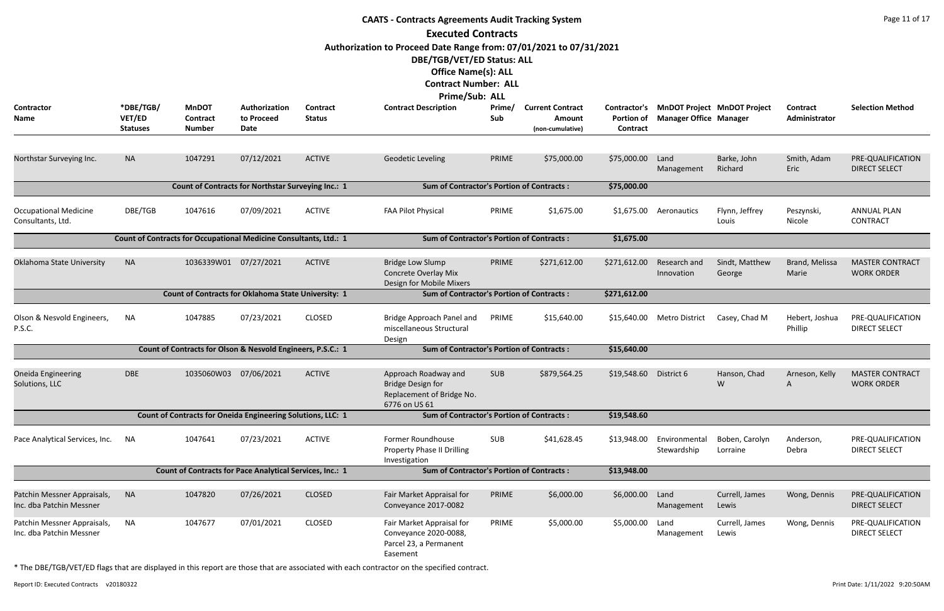|                                                         |                                        |                                                                   |                                     |                           | <b>CAATS - Contracts Agreements Audit Tracking System</b>                                      |               |                                                       |                                                      |                               |                                    |                                  | Page 11 of 17                               |
|---------------------------------------------------------|----------------------------------------|-------------------------------------------------------------------|-------------------------------------|---------------------------|------------------------------------------------------------------------------------------------|---------------|-------------------------------------------------------|------------------------------------------------------|-------------------------------|------------------------------------|----------------------------------|---------------------------------------------|
|                                                         |                                        |                                                                   |                                     |                           | <b>Executed Contracts</b>                                                                      |               |                                                       |                                                      |                               |                                    |                                  |                                             |
|                                                         |                                        |                                                                   |                                     |                           | Authorization to Proceed Date Range from: 07/01/2021 to 07/31/2021                             |               |                                                       |                                                      |                               |                                    |                                  |                                             |
|                                                         |                                        |                                                                   |                                     |                           | DBE/TGB/VET/ED Status: ALL                                                                     |               |                                                       |                                                      |                               |                                    |                                  |                                             |
|                                                         |                                        |                                                                   |                                     |                           | <b>Office Name(s): ALL</b>                                                                     |               |                                                       |                                                      |                               |                                    |                                  |                                             |
|                                                         |                                        |                                                                   |                                     |                           | <b>Contract Number: ALL</b>                                                                    |               |                                                       |                                                      |                               |                                    |                                  |                                             |
|                                                         |                                        |                                                                   |                                     |                           | Prime/Sub: ALL                                                                                 |               |                                                       |                                                      |                               |                                    |                                  |                                             |
| Contractor<br>Name                                      | *DBE/TGB/<br>VET/ED<br><b>Statuses</b> | <b>MnDOT</b><br><b>Contract</b><br><b>Number</b>                  | Authorization<br>to Proceed<br>Date | Contract<br><b>Status</b> | <b>Contract Description</b>                                                                    | Prime/<br>Sub | <b>Current Contract</b><br>Amount<br>(non-cumulative) | <b>Contractor's</b><br><b>Portion of</b><br>Contract | <b>Manager Office Manager</b> | <b>MnDOT Project MnDOT Project</b> | <b>Contract</b><br>Administrator | <b>Selection Method</b>                     |
| Northstar Surveying Inc.                                | <b>NA</b>                              | 1047291                                                           | 07/12/2021                          | <b>ACTIVE</b>             | <b>Geodetic Leveling</b>                                                                       | PRIME         | \$75,000.00                                           | \$75,000.00                                          | Land                          | Barke, John                        | Smith, Adam                      | PRE-QUALIFICATION                           |
|                                                         |                                        |                                                                   |                                     |                           |                                                                                                |               |                                                       |                                                      | Management                    | Richard                            | Eric                             | <b>DIRECT SELECT</b>                        |
|                                                         |                                        | Count of Contracts for Northstar Surveying Inc.: 1                |                                     |                           | <b>Sum of Contractor's Portion of Contracts:</b>                                               |               |                                                       | \$75,000.00                                          |                               |                                    |                                  |                                             |
| <b>Occupational Medicine</b><br>Consultants, Ltd.       | DBE/TGB                                | 1047616                                                           | 07/09/2021                          | <b>ACTIVE</b>             | FAA Pilot Physical                                                                             | PRIME         | \$1,675.00                                            | \$1,675.00                                           | Aeronautics                   | Flynn, Jeffrey<br>Louis            | Peszynski,<br>Nicole             | <b>ANNUAL PLAN</b><br><b>CONTRACT</b>       |
|                                                         |                                        | Count of Contracts for Occupational Medicine Consultants, Ltd.: 1 |                                     |                           | <b>Sum of Contractor's Portion of Contracts:</b>                                               |               |                                                       | \$1,675.00                                           |                               |                                    |                                  |                                             |
| Oklahoma State University                               | <b>NA</b>                              | 1036339W01 07/27/2021                                             |                                     | <b>ACTIVE</b>             | <b>Bridge Low Slump</b><br>Concrete Overlay Mix<br>Design for Mobile Mixers                    | PRIME         | \$271,612.00                                          | \$271,612.00                                         | Research and<br>Innovation    | Sindt, Matthew<br>George           | Brand, Melissa<br>Marie          | <b>MASTER CONTRACT</b><br><b>WORK ORDER</b> |
|                                                         |                                        | Count of Contracts for Oklahoma State University: 1               |                                     |                           | <b>Sum of Contractor's Portion of Contracts:</b>                                               |               |                                                       | \$271,612.00                                         |                               |                                    |                                  |                                             |
| Olson & Nesvold Engineers,<br>P.S.C.                    | <b>NA</b>                              | 1047885                                                           | 07/23/2021                          | <b>CLOSED</b>             | Bridge Approach Panel and<br>miscellaneous Structural<br>Design                                | PRIME         | \$15,640.00                                           | \$15,640.00                                          | Metro District                | Casey, Chad M                      | Hebert, Joshua<br>Phillip        | PRE-QUALIFICATION<br><b>DIRECT SELECT</b>   |
|                                                         |                                        | Count of Contracts for Olson & Nesvold Engineers, P.S.C.: 1       |                                     |                           | <b>Sum of Contractor's Portion of Contracts:</b>                                               |               |                                                       | \$15,640.00                                          |                               |                                    |                                  |                                             |
| <b>Oneida Engineering</b><br>Solutions, LLC             | <b>DBE</b>                             | 1035060W03                                                        | 07/06/2021                          | <b>ACTIVE</b>             | Approach Roadway and<br><b>Bridge Design for</b><br>Replacement of Bridge No.<br>6776 on US 61 | <b>SUB</b>    | \$879,564.25                                          | \$19,548.60                                          | District 6                    | Hanson, Chad<br>W                  | Arneson, Kelly<br>A              | <b>MASTER CONTRACT</b><br><b>WORK ORDER</b> |
|                                                         |                                        | Count of Contracts for Oneida Engineering Solutions, LLC: 1       |                                     |                           | <b>Sum of Contractor's Portion of Contracts:</b>                                               |               |                                                       | \$19,548.60                                          |                               |                                    |                                  |                                             |
| Pace Analytical Services, Inc.                          | ΝA                                     | 1047641                                                           | 07/23/2021                          | <b>ACTIVE</b>             | Former Roundhouse<br>Property Phase II Drilling<br>Investigation                               | <b>SUB</b>    | \$41,628.45                                           | \$13,948.00                                          | Environmental<br>Stewardship  | Boben, Carolyn<br>Lorraine         | Anderson,<br>Debra               | PRE-QUALIFICATION<br><b>DIRECT SELECT</b>   |
|                                                         |                                        | Count of Contracts for Pace Analytical Services, Inc.: 1          |                                     |                           | <b>Sum of Contractor's Portion of Contracts:</b>                                               |               |                                                       | \$13,948.00                                          |                               |                                    |                                  |                                             |
| Patchin Messner Appraisals,<br>Inc. dba Patchin Messner | <b>NA</b>                              | 1047820                                                           | 07/26/2021                          | <b>CLOSED</b>             | Fair Market Appraisal for<br>Conveyance 2017-0082                                              | PRIME         | \$6,000.00                                            | \$6,000.00                                           | Land<br>Management            | Currell, James<br>Lewis            | Wong, Dennis                     | PRE-QUALIFICATION<br><b>DIRECT SELECT</b>   |
| Patchin Messner Appraisals,<br>Inc. dba Patchin Messner | <b>NA</b>                              | 1047677                                                           | 07/01/2021                          | <b>CLOSED</b>             | Fair Market Appraisal for<br>Conveyance 2020-0088,<br>Parcel 23, a Permanent<br>Easement       | PRIME         | \$5,000.00                                            | \$5,000.00                                           | Land<br>Management            | Currell, James<br>Lewis            | Wong, Dennis                     | PRE-QUALIFICATION<br><b>DIRECT SELECT</b>   |

Report ID: Executed Contracts v20180322 9:20:50AM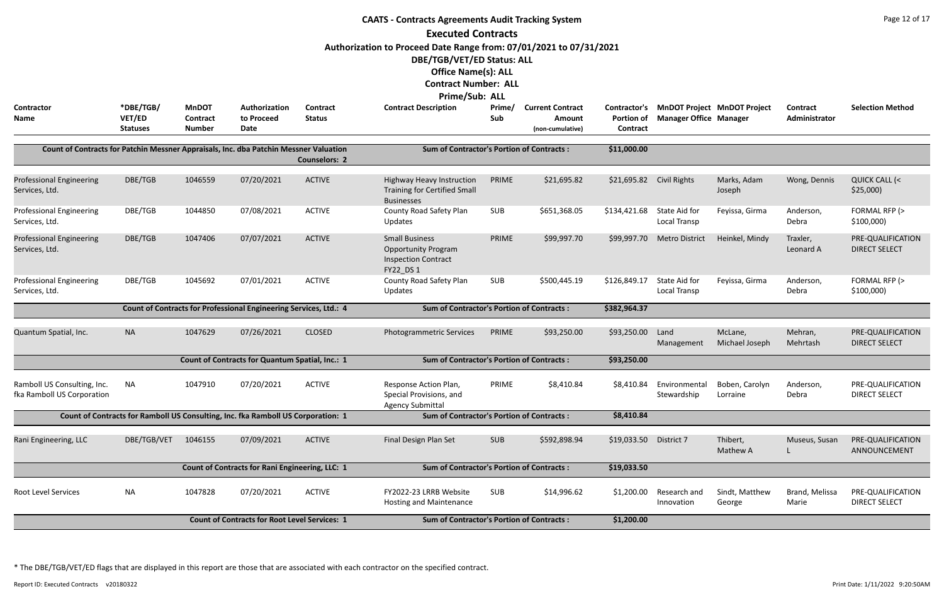|                                                                                       |                                        |                                                  |                                                                                  |                           | <b>CAATS - Contracts Agreements Audit Tracking System</b>                   |               |                                                       |                                                      |                                                                     |                            |                           | Page 12 of 17                             |
|---------------------------------------------------------------------------------------|----------------------------------------|--------------------------------------------------|----------------------------------------------------------------------------------|---------------------------|-----------------------------------------------------------------------------|---------------|-------------------------------------------------------|------------------------------------------------------|---------------------------------------------------------------------|----------------------------|---------------------------|-------------------------------------------|
|                                                                                       |                                        |                                                  |                                                                                  |                           | <b>Executed Contracts</b>                                                   |               |                                                       |                                                      |                                                                     |                            |                           |                                           |
|                                                                                       |                                        |                                                  |                                                                                  |                           | Authorization to Proceed Date Range from: 07/01/2021 to 07/31/2021          |               |                                                       |                                                      |                                                                     |                            |                           |                                           |
|                                                                                       |                                        |                                                  |                                                                                  |                           | DBE/TGB/VET/ED Status: ALL                                                  |               |                                                       |                                                      |                                                                     |                            |                           |                                           |
|                                                                                       |                                        |                                                  |                                                                                  |                           | <b>Office Name(s): ALL</b>                                                  |               |                                                       |                                                      |                                                                     |                            |                           |                                           |
|                                                                                       |                                        |                                                  |                                                                                  |                           | <b>Contract Number: ALL</b>                                                 |               |                                                       |                                                      |                                                                     |                            |                           |                                           |
|                                                                                       |                                        |                                                  |                                                                                  |                           | <b>Prime/Sub: ALL</b>                                                       |               |                                                       |                                                      |                                                                     |                            |                           |                                           |
| <b>Contractor</b><br><b>Name</b>                                                      | *DBE/TGB/<br>VET/ED<br><b>Statuses</b> | <b>MnDOT</b><br><b>Contract</b><br><b>Number</b> | Authorization<br>to Proceed<br>Date                                              | Contract<br><b>Status</b> | <b>Contract Description</b>                                                 | Prime/<br>Sub | <b>Current Contract</b><br>Amount<br>(non-cumulative) | <b>Contractor's</b><br><b>Portion of</b><br>Contract | <b>MnDOT Project MnDOT Project</b><br><b>Manager Office Manager</b> |                            | Contract<br>Administrator | <b>Selection Method</b>                   |
|                                                                                       |                                        |                                                  |                                                                                  |                           |                                                                             |               |                                                       |                                                      |                                                                     |                            |                           |                                           |
| Count of Contracts for Patchin Messner Appraisals, Inc. dba Patchin Messner Valuation |                                        |                                                  |                                                                                  | <b>Counselors: 2</b>      | <b>Sum of Contractor's Portion of Contracts:</b>                            |               |                                                       | \$11,000.00                                          |                                                                     |                            |                           |                                           |
| <b>Professional Engineering</b>                                                       | DBE/TGB                                | 1046559                                          | 07/20/2021                                                                       | <b>ACTIVE</b>             | <b>Highway Heavy Instruction</b>                                            | PRIME         | \$21,695.82                                           | \$21,695.82                                          | <b>Civil Rights</b>                                                 | Marks, Adam                | Wong, Dennis              | <b>QUICK CALL (&lt;</b>                   |
| Services, Ltd.                                                                        |                                        |                                                  |                                                                                  |                           | <b>Training for Certified Small</b><br><b>Businesses</b>                    |               |                                                       |                                                      |                                                                     | Joseph                     |                           | \$25,000                                  |
| <b>Professional Engineering</b><br>Services, Ltd.                                     | DBE/TGB                                | 1044850                                          | 07/08/2021                                                                       | <b>ACTIVE</b>             | County Road Safety Plan<br>Updates                                          | <b>SUB</b>    | \$651,368.05                                          | \$134,421.68                                         | State Aid for<br>Local Transp                                       | Feyissa, Girma             | Anderson,<br>Debra        | FORMAL RFP (><br>\$100,000                |
| <b>Professional Engineering</b>                                                       | DBE/TGB                                | 1047406                                          | 07/07/2021                                                                       | <b>ACTIVE</b>             | <b>Small Business</b>                                                       | PRIME         | \$99,997.70                                           | \$99,997.70                                          | <b>Metro District</b>                                               | Heinkel, Mindy             | Traxler,                  | PRE-QUALIFICATION                         |
| Services, Ltd.                                                                        |                                        |                                                  |                                                                                  |                           | <b>Opportunity Program</b><br><b>Inspection Contract</b>                    |               |                                                       |                                                      |                                                                     |                            | Leonard A                 | <b>DIRECT SELECT</b>                      |
| <b>Professional Engineering</b>                                                       | DBE/TGB                                | 1045692                                          | 07/01/2021                                                                       | <b>ACTIVE</b>             | FY22_DS 1<br>County Road Safety Plan                                        | SUB           | \$500,445.19                                          | \$126,849.17                                         | State Aid for                                                       | Feyissa, Girma             | Anderson,                 | FORMAL RFP (>                             |
| Services, Ltd.                                                                        |                                        |                                                  |                                                                                  |                           | Updates                                                                     |               |                                                       |                                                      | Local Transp                                                        |                            | Debra                     | \$100,000                                 |
|                                                                                       |                                        |                                                  | Count of Contracts for Professional Engineering Services, Ltd.: 4                |                           | <b>Sum of Contractor's Portion of Contracts:</b>                            |               |                                                       | \$382,964.37                                         |                                                                     |                            |                           |                                           |
|                                                                                       |                                        |                                                  |                                                                                  |                           |                                                                             |               |                                                       |                                                      |                                                                     |                            |                           |                                           |
| Quantum Spatial, Inc.                                                                 | <b>NA</b>                              | 1047629                                          | 07/26/2021                                                                       | <b>CLOSED</b>             | <b>Photogrammetric Services</b>                                             | PRIME         | \$93,250.00                                           | \$93,250.00                                          | Land<br>Management                                                  | McLane,<br>Michael Joseph  | Mehran,<br>Mehrtash       | PRE-QUALIFICATION<br><b>DIRECT SELECT</b> |
|                                                                                       |                                        |                                                  | Count of Contracts for Quantum Spatial, Inc.: 1                                  |                           | <b>Sum of Contractor's Portion of Contracts:</b>                            |               |                                                       | \$93,250.00                                          |                                                                     |                            |                           |                                           |
| Ramboll US Consulting, Inc.<br>fka Ramboll US Corporation                             | <b>NA</b>                              | 1047910                                          | 07/20/2021                                                                       | <b>ACTIVE</b>             | Response Action Plan,<br>Special Provisions, and<br><b>Agency Submittal</b> | PRIME         | \$8,410.84                                            | \$8,410.84                                           | Environmental<br>Stewardship                                        | Boben, Carolyn<br>Lorraine | Anderson,<br>Debra        | PRE-QUALIFICATION<br><b>DIRECT SELECT</b> |
|                                                                                       |                                        |                                                  | Count of Contracts for Ramboll US Consulting, Inc. fka Ramboll US Corporation: 1 |                           | <b>Sum of Contractor's Portion of Contracts:</b>                            |               |                                                       | \$8,410.84                                           |                                                                     |                            |                           |                                           |
|                                                                                       |                                        |                                                  |                                                                                  |                           |                                                                             |               |                                                       |                                                      |                                                                     |                            |                           |                                           |
| Rani Engineering, LLC                                                                 | DBE/TGB/VET                            | 1046155                                          | 07/09/2021                                                                       | <b>ACTIVE</b>             | Final Design Plan Set                                                       | <b>SUB</b>    | \$592,898.94                                          | \$19,033.50                                          | District 7                                                          | Thibert,<br>Mathew A       | Museus, Susan             | PRE-QUALIFICATION<br>ANNOUNCEMENT         |
|                                                                                       |                                        |                                                  | Count of Contracts for Rani Engineering, LLC: 1                                  |                           | <b>Sum of Contractor's Portion of Contracts:</b>                            |               |                                                       | \$19,033.50                                          |                                                                     |                            |                           |                                           |
| Root Level Services                                                                   | <b>NA</b>                              | 1047828                                          | 07/20/2021                                                                       | <b>ACTIVE</b>             | FY2022-23 LRRB Website<br><b>Hosting and Maintenance</b>                    | <b>SUB</b>    | \$14,996.62                                           | \$1,200.00                                           | Research and<br>Innovation                                          | Sindt, Matthew<br>George   | Brand, Melissa<br>Marie   | PRE-QUALIFICATION<br><b>DIRECT SELECT</b> |
|                                                                                       |                                        |                                                  | <b>Count of Contracts for Root Level Services: 1</b>                             |                           | <b>Sum of Contractor's Portion of Contracts:</b>                            |               |                                                       | \$1,200.00                                           |                                                                     |                            |                           |                                           |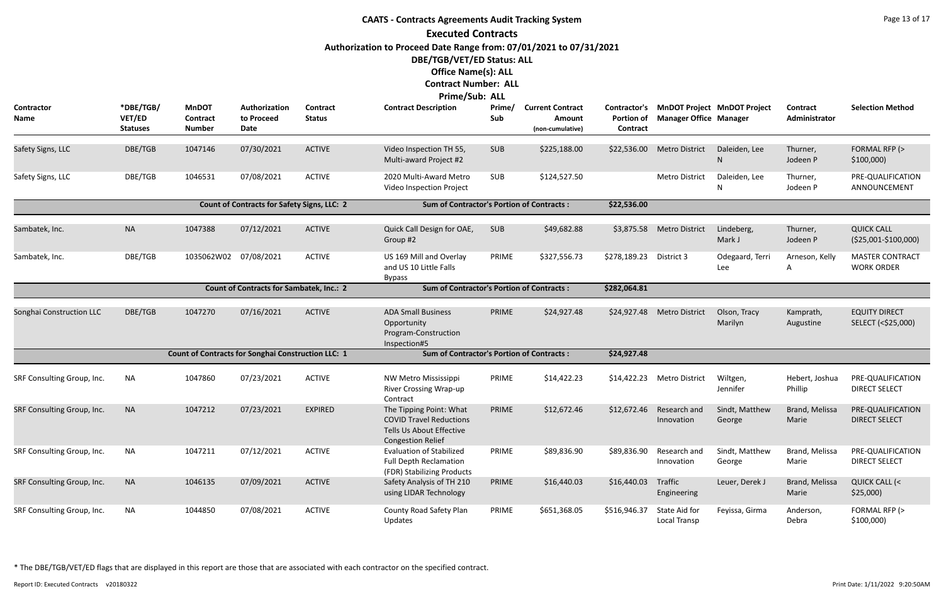## **CAATS - Contracts Agreements Audit Tracking System Executed Contracts Authorization to Proceed Date Range from: 07/01/2021 to 07/31/2021 DBE/TGB/VET/ED Status: ALL Office Name(s): ALL**

### **Contract Number: ALL**

#### **Prime/Sub: ALL**

| <b>Contractor</b><br>Name  | *DBE/TGB/<br>VET/ED<br><b>Statuses</b> | <b>MnDOT</b><br>Contract<br><b>Number</b>          | Authorization<br>to Proceed<br>Date             | <b>Contract</b><br><b>Status</b> | <b>Contract Description</b>                                                                                       | Prime/<br>Sub | <b>Current Contract</b><br><b>Amount</b><br>(non-cumulative) | <b>Contractor's</b><br>Portion of<br>Contract | <b>Manager Office Manager</b> | <b>MnDOT Project MnDOT Project</b> | Contract<br>Administrator | <b>Selection Method</b>                      |
|----------------------------|----------------------------------------|----------------------------------------------------|-------------------------------------------------|----------------------------------|-------------------------------------------------------------------------------------------------------------------|---------------|--------------------------------------------------------------|-----------------------------------------------|-------------------------------|------------------------------------|---------------------------|----------------------------------------------|
| Safety Signs, LLC          | DBE/TGB                                | 1047146                                            | 07/30/2021                                      | <b>ACTIVE</b>                    | Video Inspection TH 55,<br>Multi-award Project #2                                                                 | <b>SUB</b>    | \$225,188.00                                                 | \$22,536.00                                   | <b>Metro District</b>         | Daleiden, Lee<br>N                 | Thurner,<br>Jodeen P      | FORMAL RFP (><br>\$100,000                   |
| Safety Signs, LLC          | DBE/TGB                                | 1046531                                            | 07/08/2021                                      | <b>ACTIVE</b>                    | 2020 Multi-Award Metro<br>Video Inspection Project                                                                | <b>SUB</b>    | \$124,527.50                                                 |                                               | Metro District                | Daleiden, Lee                      | Thurner,<br>Jodeen P      | PRE-QUALIFICATION<br>ANNOUNCEMENT            |
|                            |                                        |                                                    | Count of Contracts for Safety Signs, LLC: 2     |                                  | <b>Sum of Contractor's Portion of Contracts:</b>                                                                  |               |                                                              | \$22,536.00                                   |                               |                                    |                           |                                              |
| Sambatek, Inc.             | <b>NA</b>                              | 1047388                                            | 07/12/2021                                      | <b>ACTIVE</b>                    | Quick Call Design for OAE,<br>Group #2                                                                            | SUB           | \$49,682.88                                                  | \$3,875.58                                    | <b>Metro District</b>         | Lindeberg,<br>Mark J               | Thurner,<br>Jodeen P      | <b>QUICK CALL</b><br>$( $25,001 - $100,000)$ |
| Sambatek, Inc.             | DBE/TGB                                | 1035062W02 07/08/2021                              |                                                 | <b>ACTIVE</b>                    | US 169 Mill and Overlay<br>and US 10 Little Falls<br><b>Bypass</b>                                                | PRIME         | \$327,556.73                                                 | \$278,189.23                                  | District 3                    | Odegaard, Terri<br>Lee             | Arneson, Kelly<br>A       | <b>MASTER CONTRACT</b><br><b>WORK ORDER</b>  |
|                            |                                        |                                                    | <b>Count of Contracts for Sambatek, Inc.: 2</b> |                                  | <b>Sum of Contractor's Portion of Contracts:</b>                                                                  |               |                                                              | \$282,064.81                                  |                               |                                    |                           |                                              |
| Songhai Construction LLC   | DBE/TGB                                | 1047270                                            | 07/16/2021                                      | <b>ACTIVE</b>                    | <b>ADA Small Business</b><br>Opportunity<br>Program-Construction<br>Inspection#5                                  | PRIME         | \$24,927.48                                                  | \$24,927.48                                   | <b>Metro District</b>         | Olson, Tracy<br>Marilyn            | Kamprath,<br>Augustine    | <b>EQUITY DIRECT</b><br>SELECT (<\$25,000)   |
|                            |                                        | Count of Contracts for Songhai Construction LLC: 1 |                                                 |                                  | <b>Sum of Contractor's Portion of Contracts:</b>                                                                  |               |                                                              | \$24,927.48                                   |                               |                                    |                           |                                              |
| SRF Consulting Group, Inc. | <b>NA</b>                              | 1047860                                            | 07/23/2021                                      | <b>ACTIVE</b>                    | NW Metro Mississippi<br>River Crossing Wrap-up<br>Contract                                                        | PRIME         | \$14,422.23                                                  | \$14,422.23                                   | <b>Metro District</b>         | Wiltgen,<br>Jennifer               | Hebert, Joshua<br>Phillip | PRE-QUALIFICATION<br><b>DIRECT SELECT</b>    |
| SRF Consulting Group, Inc. | <b>NA</b>                              | 1047212                                            | 07/23/2021                                      | <b>EXPIRED</b>                   | The Tipping Point: What<br><b>COVID Travel Reductions</b><br>Tells Us About Effective<br><b>Congestion Relief</b> | PRIME         | \$12,672.46                                                  | \$12,672.46                                   | Research and<br>Innovation    | Sindt, Matthew<br>George           | Brand, Melissa<br>Marie   | PRE-QUALIFICATION<br><b>DIRECT SELECT</b>    |
| SRF Consulting Group, Inc. | NA                                     | 1047211                                            | 07/12/2021                                      | <b>ACTIVE</b>                    | <b>Evaluation of Stabilized</b><br><b>Full Depth Reclamation</b><br>(FDR) Stabilizing Products                    | PRIME         | \$89,836.90                                                  | \$89,836.90                                   | Research and<br>Innovation    | Sindt, Matthew<br>George           | Brand, Melissa<br>Marie   | PRE-QUALIFICATION<br><b>DIRECT SELECT</b>    |
| SRF Consulting Group, Inc. | <b>NA</b>                              | 1046135                                            | 07/09/2021                                      | <b>ACTIVE</b>                    | Safety Analysis of TH 210<br>using LIDAR Technology                                                               | PRIME         | \$16,440.03                                                  | \$16,440.03                                   | Traffic<br>Engineering        | Leuer, Derek J                     | Brand, Melissa<br>Marie   | QUICK CALL (<<br>\$25,000                    |
| SRF Consulting Group, Inc. | <b>NA</b>                              | 1044850                                            | 07/08/2021                                      | <b>ACTIVE</b>                    | County Road Safety Plan<br>Updates                                                                                | PRIME         | \$651,368.05                                                 | \$516,946.37                                  | State Aid for<br>Local Transp | Feyissa, Girma                     | Anderson,<br>Debra        | FORMAL RFP (><br>\$100,000                   |

\* The DBE/TGB/VET/ED flags that are displayed in this report are those that are associated with each contractor on the specified contract.

Report ID: Executed Contracts v20180322 Print Date: 1/11/2022 9:20:50AM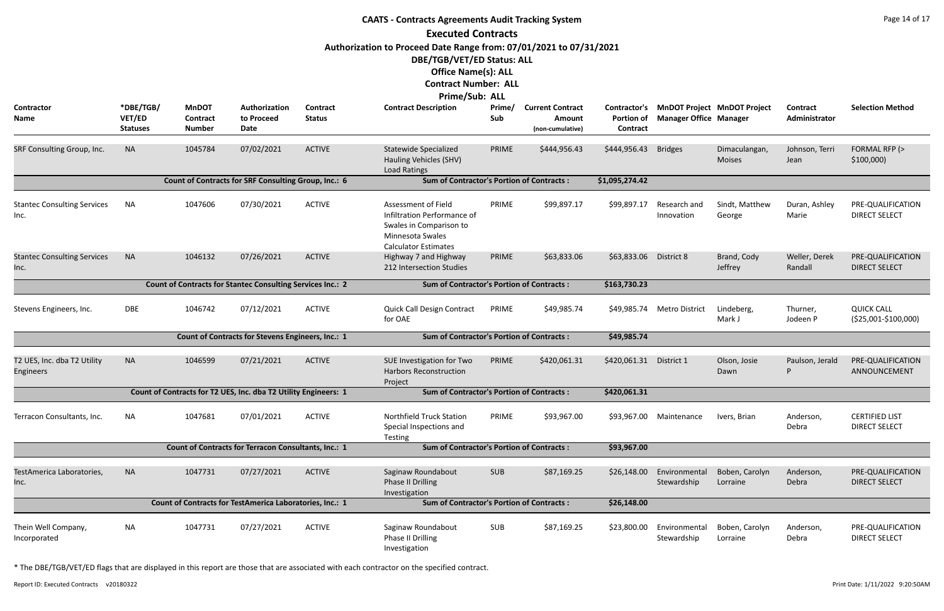|                                            |                                        |                                                  |                                                                   |                                  | <b>CAATS - Contracts Agreements Audit Tracking System</b>                                                                                      |               |                                                       |                                                      |                               |                                    |                           | Page 14 of 17                                     |
|--------------------------------------------|----------------------------------------|--------------------------------------------------|-------------------------------------------------------------------|----------------------------------|------------------------------------------------------------------------------------------------------------------------------------------------|---------------|-------------------------------------------------------|------------------------------------------------------|-------------------------------|------------------------------------|---------------------------|---------------------------------------------------|
|                                            |                                        |                                                  |                                                                   |                                  | <b>Executed Contracts</b>                                                                                                                      |               |                                                       |                                                      |                               |                                    |                           |                                                   |
|                                            |                                        |                                                  |                                                                   |                                  | Authorization to Proceed Date Range from: 07/01/2021 to 07/31/2021                                                                             |               |                                                       |                                                      |                               |                                    |                           |                                                   |
|                                            |                                        |                                                  |                                                                   |                                  | DBE/TGB/VET/ED Status: ALL                                                                                                                     |               |                                                       |                                                      |                               |                                    |                           |                                                   |
|                                            |                                        |                                                  |                                                                   |                                  | <b>Office Name(s): ALL</b>                                                                                                                     |               |                                                       |                                                      |                               |                                    |                           |                                                   |
|                                            |                                        |                                                  |                                                                   |                                  | <b>Contract Number: ALL</b>                                                                                                                    |               |                                                       |                                                      |                               |                                    |                           |                                                   |
|                                            |                                        |                                                  |                                                                   |                                  | Prime/Sub: ALL                                                                                                                                 |               |                                                       |                                                      |                               |                                    |                           |                                                   |
| Contractor<br>Name                         | *DBE/TGB/<br>VET/ED<br><b>Statuses</b> | <b>MnDOT</b><br><b>Contract</b><br><b>Number</b> | Authorization<br>to Proceed<br>Date                               | <b>Contract</b><br><b>Status</b> | <b>Contract Description</b>                                                                                                                    | Prime/<br>Sub | <b>Current Contract</b><br>Amount<br>(non-cumulative) | <b>Contractor's</b><br><b>Portion of</b><br>Contract | <b>Manager Office Manager</b> | <b>MnDOT Project MnDOT Project</b> | Contract<br>Administrator | <b>Selection Method</b>                           |
| SRF Consulting Group, Inc.                 | <b>NA</b>                              | 1045784                                          | 07/02/2021                                                        | <b>ACTIVE</b>                    | <b>Statewide Specialized</b><br>Hauling Vehicles (SHV)<br>Load Ratings                                                                         | PRIME         | \$444,956.43                                          | \$444,956.43                                         | <b>Bridges</b>                | Dimaculangan,<br>Moises            | Johnson, Terri<br>Jean    | FORMAL RFP (><br>\$100,000                        |
|                                            |                                        |                                                  | Count of Contracts for SRF Consulting Group, Inc.: 6              |                                  | <b>Sum of Contractor's Portion of Contracts:</b>                                                                                               |               |                                                       | \$1,095,274.42                                       |                               |                                    |                           |                                                   |
| <b>Stantec Consulting Services</b><br>Inc. | NA                                     | 1047606                                          | 07/30/2021                                                        | <b>ACTIVE</b>                    | <b>Assessment of Field</b><br>Infiltration Performance of<br>Swales in Comparison to<br><b>Minnesota Swales</b><br><b>Calculator Estimates</b> | PRIME         | \$99,897.17                                           | \$99,897.17                                          | Research and<br>Innovation    | Sindt, Matthew<br>George           | Duran, Ashley<br>Marie    | PRE-QUALIFICATION<br><b>DIRECT SELECT</b>         |
| <b>Stantec Consulting Services</b><br>Inc. | <b>NA</b>                              | 1046132                                          | 07/26/2021                                                        | <b>ACTIVE</b>                    | Highway 7 and Highway<br>212 Intersection Studies                                                                                              | PRIME         | \$63,833.06                                           | \$63,833.06                                          | District 8                    | Brand, Cody<br>Jeffrey             | Weller, Derek<br>Randall  | PRE-QUALIFICATION<br><b>DIRECT SELECT</b>         |
|                                            |                                        |                                                  | <b>Count of Contracts for Stantec Consulting Services Inc.: 2</b> |                                  | <b>Sum of Contractor's Portion of Contracts:</b>                                                                                               |               |                                                       | \$163,730.23                                         |                               |                                    |                           |                                                   |
| Stevens Engineers, Inc.                    | DBE                                    | 1046742                                          | 07/12/2021                                                        | <b>ACTIVE</b>                    | <b>Quick Call Design Contract</b><br>for OAE                                                                                                   | PRIME         | \$49,985.74                                           |                                                      | \$49,985.74 Metro District    | Lindeberg,<br>Mark J               | Thurner,<br>Jodeen P      | <b>QUICK CALL</b><br>$( $25,001 - $100,000)$      |
|                                            |                                        |                                                  | Count of Contracts for Stevens Engineers, Inc.: 1                 |                                  | <b>Sum of Contractor's Portion of Contracts:</b>                                                                                               |               |                                                       | \$49,985.74                                          |                               |                                    |                           |                                                   |
| T2 UES, Inc. dba T2 Utility<br>Engineers   | <b>NA</b>                              | 1046599                                          | 07/21/2021                                                        | <b>ACTIVE</b>                    | SUE Investigation for Two<br><b>Harbors Reconstruction</b><br>Project                                                                          | PRIME         | \$420,061.31                                          | \$420,061.31 District 1                              |                               | Olson, Josie<br>Dawn               |                           | Paulson, Jerald PRE-QUALIFICATION<br>ANNOUNCEMENT |
|                                            |                                        |                                                  | Count of Contracts for T2 UES, Inc. dba T2 Utility Engineers: 1   |                                  | <b>Sum of Contractor's Portion of Contracts:</b>                                                                                               |               |                                                       | \$420,061.31                                         |                               |                                    |                           |                                                   |
| Terracon Consultants, Inc.                 | NA                                     | 1047681                                          | 07/01/2021                                                        | <b>ACTIVE</b>                    | <b>Northfield Truck Station</b><br>Special Inspections and<br>Testing                                                                          | PRIME         | \$93,967.00                                           |                                                      | \$93,967.00 Maintenance       | Ivers, Brian                       | Anderson,<br>Debra        | <b>CERTIFIED LIST</b><br><b>DIRECT SELECT</b>     |
|                                            |                                        |                                                  | Count of Contracts for Terracon Consultants, Inc.: 1              |                                  | <b>Sum of Contractor's Portion of Contracts:</b>                                                                                               |               |                                                       | \$93,967.00                                          |                               |                                    |                           |                                                   |
| TestAmerica Laboratories,<br>Inc.          | <b>NA</b>                              | 1047731                                          | 07/27/2021                                                        | <b>ACTIVE</b>                    | Saginaw Roundabout<br>Phase II Drilling<br>Investigation                                                                                       | <b>SUB</b>    | \$87,169.25                                           | \$26,148.00                                          | Environmental<br>Stewardship  | Boben, Carolyn<br>Lorraine         | Anderson,<br>Debra        | PRE-QUALIFICATION<br><b>DIRECT SELECT</b>         |
|                                            |                                        |                                                  | Count of Contracts for TestAmerica Laboratories, Inc.: 1          |                                  | <b>Sum of Contractor's Portion of Contracts:</b>                                                                                               |               |                                                       | \$26,148.00                                          |                               |                                    |                           |                                                   |
| Thein Well Company,<br>Incorporated        | <b>NA</b>                              | 1047731                                          | 07/27/2021                                                        | <b>ACTIVE</b>                    | Saginaw Roundabout<br>Phase II Drilling<br>Investigation                                                                                       | SUB           | \$87,169.25                                           | \$23,800.00                                          | Environmental<br>Stewardship  | Boben, Carolyn<br>Lorraine         | Anderson,<br>Debra        | PRE-QUALIFICATION<br><b>DIRECT SELECT</b>         |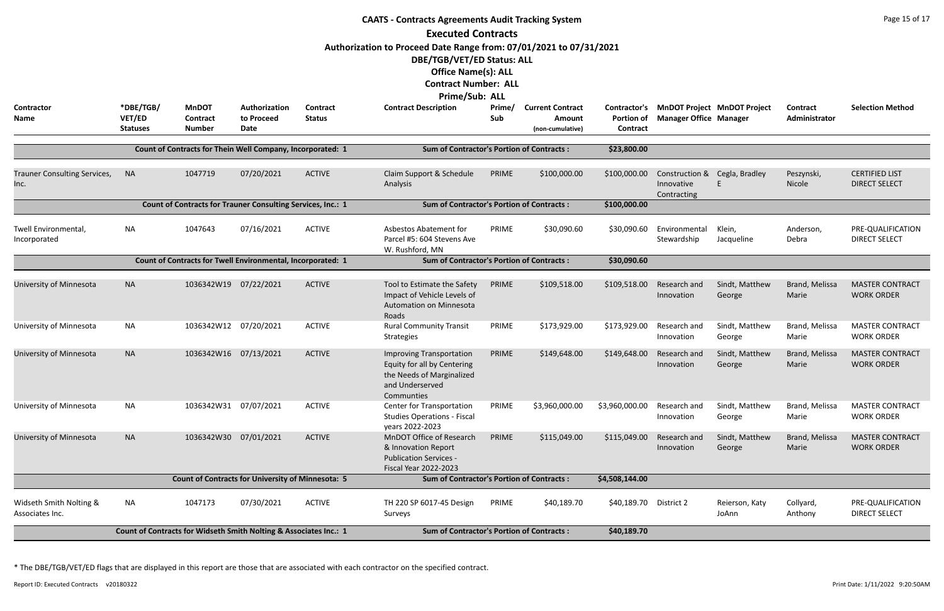|                                            |                                        |                                                                   |                                     |                           | <b>CAATS - Contracts Agreements Audit Tracking System</b>                                                                    |               |                                                              |                                               |                                                            |                                    |                           | Page 15 of 17                                 |
|--------------------------------------------|----------------------------------------|-------------------------------------------------------------------|-------------------------------------|---------------------------|------------------------------------------------------------------------------------------------------------------------------|---------------|--------------------------------------------------------------|-----------------------------------------------|------------------------------------------------------------|------------------------------------|---------------------------|-----------------------------------------------|
|                                            |                                        |                                                                   |                                     |                           | <b>Executed Contracts</b>                                                                                                    |               |                                                              |                                               |                                                            |                                    |                           |                                               |
|                                            |                                        |                                                                   |                                     |                           | Authorization to Proceed Date Range from: 07/01/2021 to 07/31/2021                                                           |               |                                                              |                                               |                                                            |                                    |                           |                                               |
|                                            |                                        |                                                                   |                                     |                           | DBE/TGB/VET/ED Status: ALL                                                                                                   |               |                                                              |                                               |                                                            |                                    |                           |                                               |
|                                            |                                        |                                                                   |                                     |                           | <b>Office Name(s): ALL</b>                                                                                                   |               |                                                              |                                               |                                                            |                                    |                           |                                               |
|                                            |                                        |                                                                   |                                     |                           | <b>Contract Number: ALL</b>                                                                                                  |               |                                                              |                                               |                                                            |                                    |                           |                                               |
|                                            |                                        |                                                                   |                                     |                           | <b>Prime/Sub: ALL</b>                                                                                                        |               |                                                              |                                               |                                                            |                                    |                           |                                               |
| Contractor<br><b>Name</b>                  | *DBE/TGB/<br>VET/ED<br><b>Statuses</b> | <b>MnDOT</b><br><b>Contract</b><br><b>Number</b>                  | Authorization<br>to Proceed<br>Date | Contract<br><b>Status</b> | <b>Contract Description</b>                                                                                                  | Prime/<br>Sub | <b>Current Contract</b><br><b>Amount</b><br>(non-cumulative) | Contractor's<br><b>Portion of</b><br>Contract | <b>Manager Office Manager</b>                              | <b>MnDOT Project MnDOT Project</b> | Contract<br>Administrator | <b>Selection Method</b>                       |
|                                            |                                        |                                                                   |                                     |                           |                                                                                                                              |               |                                                              |                                               |                                                            |                                    |                           |                                               |
|                                            |                                        | Count of Contracts for Thein Well Company, Incorporated: 1        |                                     |                           | <b>Sum of Contractor's Portion of Contracts:</b>                                                                             |               |                                                              | \$23,800.00                                   |                                                            |                                    |                           |                                               |
| Trauner Consulting Services,<br>Inc.       | <b>NA</b>                              | 1047719                                                           | 07/20/2021                          | <b>ACTIVE</b>             | Claim Support & Schedule<br>Analysis                                                                                         | PRIME         | \$100,000.00                                                 | \$100,000.00                                  | Construction & Cegla, Bradley<br>Innovative<br>Contracting |                                    | Peszynski,<br>Nicole      | <b>CERTIFIED LIST</b><br><b>DIRECT SELECT</b> |
|                                            |                                        | Count of Contracts for Trauner Consulting Services, Inc.: 1       |                                     |                           | <b>Sum of Contractor's Portion of Contracts:</b>                                                                             |               |                                                              | \$100,000.00                                  |                                                            |                                    |                           |                                               |
|                                            |                                        |                                                                   |                                     |                           |                                                                                                                              |               |                                                              |                                               |                                                            |                                    |                           |                                               |
| Twell Environmental,<br>Incorporated       | <b>NA</b>                              | 1047643                                                           | 07/16/2021                          | <b>ACTIVE</b>             | Asbestos Abatement for<br>Parcel #5: 604 Stevens Ave<br>W. Rushford, MN                                                      | PRIME         | \$30,090.60                                                  | \$30,090.60                                   | Environmental<br>Stewardship                               | Klein,<br>Jacqueline               | Anderson,<br>Debra        | PRE-QUALIFICATION<br><b>DIRECT SELECT</b>     |
|                                            |                                        | Count of Contracts for Twell Environmental, Incorporated: 1       |                                     |                           | <b>Sum of Contractor's Portion of Contracts:</b>                                                                             |               |                                                              | \$30,090.60                                   |                                                            |                                    |                           |                                               |
|                                            |                                        |                                                                   |                                     |                           |                                                                                                                              |               |                                                              |                                               |                                                            |                                    |                           |                                               |
| University of Minnesota                    | <b>NA</b>                              | 1036342W19 07/22/2021                                             |                                     | <b>ACTIVE</b>             | Tool to Estimate the Safety<br>Impact of Vehicle Levels of<br>Automation on Minnesota<br>Roads                               | PRIME         | \$109,518.00                                                 | \$109,518.00                                  | Research and<br>Innovation                                 | Sindt, Matthew<br>George           | Brand, Melissa<br>Marie   | <b>MASTER CONTRACT</b><br><b>WORK ORDER</b>   |
| University of Minnesota                    | <b>NA</b>                              | 1036342W12 07/20/2021                                             |                                     | <b>ACTIVE</b>             | <b>Rural Community Transit</b><br><b>Strategies</b>                                                                          | PRIME         | \$173,929.00                                                 | \$173,929.00                                  | Research and<br>Innovation                                 | Sindt, Matthew<br>George           | Brand, Melissa<br>Marie   | <b>MASTER CONTRACT</b><br><b>WORK ORDER</b>   |
| University of Minnesota                    | <b>NA</b>                              | 1036342W16 07/13/2021                                             |                                     | <b>ACTIVE</b>             | <b>Improving Transportation</b><br>Equity for all by Centering<br>the Needs of Marginalized<br>and Underserved<br>Communties | PRIME         | \$149,648.00                                                 | \$149,648.00                                  | Research and<br>Innovation                                 | Sindt, Matthew<br>George           | Brand, Melissa<br>Marie   | <b>MASTER CONTRACT</b><br><b>WORK ORDER</b>   |
| University of Minnesota                    | <b>NA</b>                              | 1036342W31 07/07/2021                                             |                                     | <b>ACTIVE</b>             | <b>Center for Transportation</b><br><b>Studies Operations - Fiscal</b><br>years 2022-2023                                    | PRIME         | \$3,960,000.00                                               | \$3,960,000.00                                | Research and<br>Innovation                                 | Sindt, Matthew<br>George           | Brand, Melissa<br>Marie   | <b>MASTER CONTRACT</b><br><b>WORK ORDER</b>   |
| University of Minnesota                    | <b>NA</b>                              | 1036342W30 07/01/2021                                             |                                     | <b>ACTIVE</b>             | MnDOT Office of Research<br>& Innovation Report<br><b>Publication Services -</b><br><b>Fiscal Year 2022-2023</b>             | PRIME         | \$115,049.00                                                 | \$115,049.00                                  | Research and<br>Innovation                                 | Sindt, Matthew<br>George           | Brand, Melissa<br>Marie   | <b>MASTER CONTRACT</b><br><b>WORK ORDER</b>   |
|                                            |                                        | <b>Count of Contracts for University of Minnesota: 5</b>          |                                     |                           | <b>Sum of Contractor's Portion of Contracts:</b>                                                                             |               |                                                              | \$4,508,144.00                                |                                                            |                                    |                           |                                               |
| Widseth Smith Nolting &<br>Associates Inc. | <b>NA</b>                              | 1047173                                                           | 07/30/2021                          | <b>ACTIVE</b>             | TH 220 SP 6017-45 Design<br>Surveys                                                                                          | PRIME         | \$40,189.70                                                  | \$40,189.70 District 2                        |                                                            | Reierson, Katy<br>JoAnn            | Collyard,<br>Anthony      | PRE-QUALIFICATION<br><b>DIRECT SELECT</b>     |
|                                            |                                        | Count of Contracts for Widseth Smith Nolting & Associates Inc.: 1 |                                     |                           | <b>Sum of Contractor's Portion of Contracts:</b>                                                                             |               |                                                              | \$40,189.70                                   |                                                            |                                    |                           |                                               |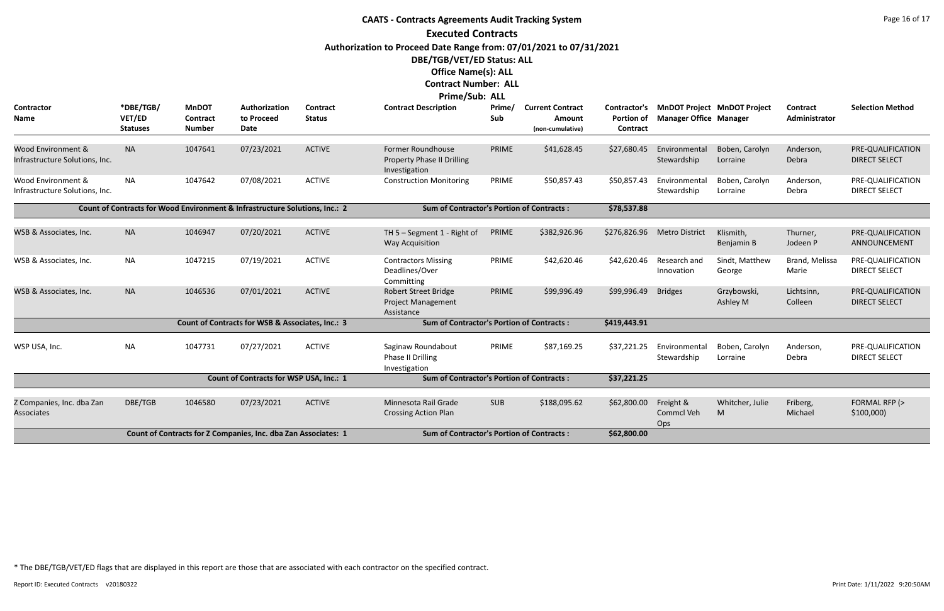|                                                      |                                        |                                                  |                                                                             |                                  | <b>CAATS - Contracts Agreements Audit Tracking System</b><br><b>Executed Contracts</b><br>Authorization to Proceed Date Range from: 07/01/2021 to 07/31/2021 |               |                                                       |                                                      |                                       |                                    |                           | Page 16 of 17                             |
|------------------------------------------------------|----------------------------------------|--------------------------------------------------|-----------------------------------------------------------------------------|----------------------------------|--------------------------------------------------------------------------------------------------------------------------------------------------------------|---------------|-------------------------------------------------------|------------------------------------------------------|---------------------------------------|------------------------------------|---------------------------|-------------------------------------------|
|                                                      |                                        |                                                  |                                                                             |                                  | DBE/TGB/VET/ED Status: ALL<br><b>Office Name(s): ALL</b><br><b>Contract Number: ALL</b><br><b>Prime/Sub: ALL</b>                                             |               |                                                       |                                                      |                                       |                                    |                           |                                           |
| Contractor<br>Name                                   | *DBE/TGB/<br>VET/ED<br><b>Statuses</b> | <b>MnDOT</b><br><b>Contract</b><br><b>Number</b> | Authorization<br>to Proceed<br>Date                                         | <b>Contract</b><br><b>Status</b> | <b>Contract Description</b>                                                                                                                                  | Prime/<br>Sub | <b>Current Contract</b><br>Amount<br>(non-cumulative) | <b>Contractor's</b><br><b>Portion of</b><br>Contract | <b>Manager Office Manager</b>         | <b>MnDOT Project MnDOT Project</b> | Contract<br>Administrator | <b>Selection Method</b>                   |
| Wood Environment &<br>Infrastructure Solutions, Inc. | <b>NA</b>                              | 1047641                                          | 07/23/2021                                                                  | <b>ACTIVE</b>                    | Former Roundhouse<br><b>Property Phase II Drilling</b><br>Investigation                                                                                      | PRIME         | \$41,628.45                                           | \$27,680.45                                          | Environmental<br>Stewardship          | Boben, Carolyn<br>Lorraine         | Anderson,<br>Debra        | PRE-QUALIFICATION<br><b>DIRECT SELECT</b> |
| Wood Environment &<br>Infrastructure Solutions, Inc. | <b>NA</b>                              | 1047642                                          | 07/08/2021                                                                  | <b>ACTIVE</b>                    | <b>Construction Monitoring</b>                                                                                                                               | PRIME         | \$50,857.43                                           | \$50,857.43                                          | Environmental<br>Stewardship          | Boben, Carolyn<br>Lorraine         | Anderson,<br>Debra        | PRE-QUALIFICATION<br><b>DIRECT SELECT</b> |
|                                                      |                                        |                                                  | Count of Contracts for Wood Environment & Infrastructure Solutions, Inc.: 2 |                                  | <b>Sum of Contractor's Portion of Contracts:</b>                                                                                                             |               |                                                       | \$78,537.88                                          |                                       |                                    |                           |                                           |
| WSB & Associates, Inc.                               | <b>NA</b>                              | 1046947                                          | 07/20/2021                                                                  | <b>ACTIVE</b>                    | TH 5 - Segment 1 - Right of<br><b>Way Acquisition</b>                                                                                                        | PRIME         | \$382,926.96                                          | \$276,826.96                                         | <b>Metro District</b>                 | Klismith,<br>Benjamin B            | Thurner,<br>Jodeen P      | PRE-QUALIFICATION<br>ANNOUNCEMENT         |
| WSB & Associates, Inc.                               | <b>NA</b>                              | 1047215                                          | 07/19/2021                                                                  | <b>ACTIVE</b>                    | <b>Contractors Missing</b><br>Deadlines/Over<br>Committing                                                                                                   | PRIME         | \$42,620.46                                           | \$42,620.46                                          | Research and<br>Innovation            | Sindt, Matthew<br>George           | Brand, Melissa<br>Marie   | PRE-QUALIFICATION<br><b>DIRECT SELECT</b> |
| WSB & Associates, Inc.                               | <b>NA</b>                              | 1046536                                          | 07/01/2021                                                                  | <b>ACTIVE</b>                    | <b>Robert Street Bridge</b><br><b>Project Management</b><br>Assistance                                                                                       | PRIME         | \$99,996.49                                           | \$99,996.49                                          | <b>Bridges</b>                        | Grzybowski,<br>Ashley M            | Lichtsinn,<br>Colleen     | PRE-QUALIFICATION<br><b>DIRECT SELECT</b> |
|                                                      |                                        |                                                  | Count of Contracts for WSB & Associates, Inc.: 3                            |                                  | <b>Sum of Contractor's Portion of Contracts:</b>                                                                                                             |               |                                                       | \$419,443.91                                         |                                       |                                    |                           |                                           |
| WSP USA, Inc.                                        | <b>NA</b>                              | 1047731                                          | 07/27/2021                                                                  | <b>ACTIVE</b>                    | Saginaw Roundabout<br>Phase II Drilling<br>Investigation                                                                                                     | PRIME         | \$87,169.25                                           | \$37,221.25                                          | Environmental<br>Stewardship Lorraine | Boben, Carolyn                     | Anderson,<br>Debra        | PRE-QUALIFICATION<br><b>DIRECT SELECT</b> |
|                                                      |                                        |                                                  | Count of Contracts for WSP USA, Inc.: 1                                     |                                  | <b>Sum of Contractor's Portion of Contracts:</b>                                                                                                             |               |                                                       | \$37,221.25                                          |                                       |                                    |                           |                                           |
| Z Companies, Inc. dba Zan<br>Associates              | DBE/TGB                                | 1046580                                          | 07/23/2021                                                                  | <b>ACTIVE</b>                    | Minnesota Rail Grade<br><b>Crossing Action Plan</b>                                                                                                          | <b>SUB</b>    | \$188,095.62                                          | \$62,800.00                                          | Freight &<br>Commcl Veh<br>Ops        | Whitcher, Julie<br>M               | Friberg,<br>Michael       | FORMAL RFP (><br>\$100,000                |
|                                                      |                                        |                                                  | Count of Contracts for Z Companies, Inc. dba Zan Associates: 1              |                                  | <b>Sum of Contractor's Portion of Contracts:</b>                                                                                                             |               |                                                       | \$62,800.00                                          |                                       |                                    |                           |                                           |